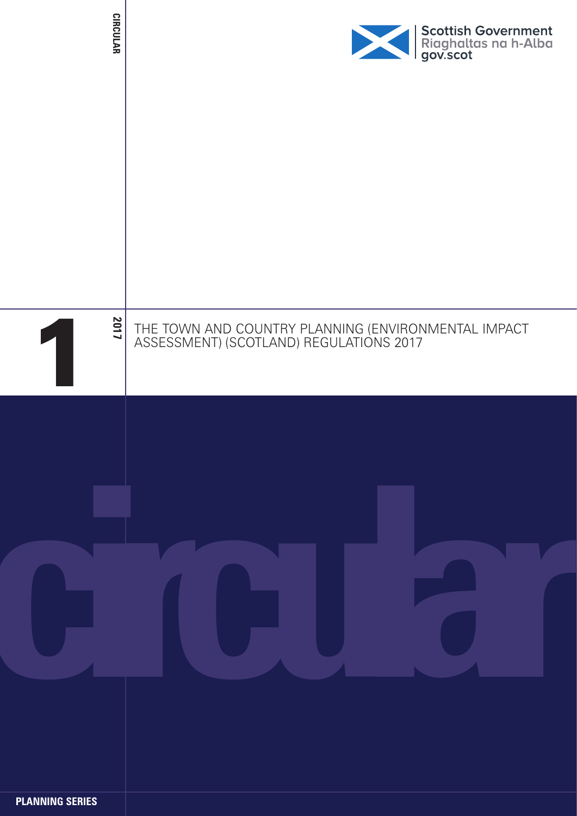| <b>CIRCULAR</b> | Scottish Government<br>Riaghaltas na h-Alba<br>gov.scot                                        |
|-----------------|------------------------------------------------------------------------------------------------|
| 2017            | THE TOWN AND COUNTRY PLANNING (ENVIRONMENTAL IMPACT<br>ASSESSMENT) (SCOTLAND) REGULATIONS 2017 |
|                 |                                                                                                |
|                 |                                                                                                |

**PLANNING SERIES**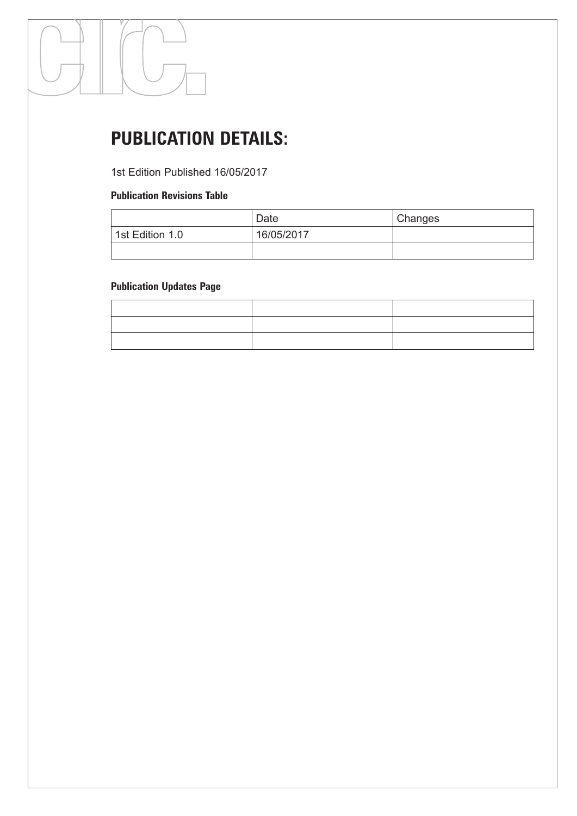# **PUBLICATION DETAILS:**

1st Edition Published 16/05/2017

#### **Publication Revisions Table**

|                 | Date       | Changes |
|-----------------|------------|---------|
| 1st Edition 1.0 | 16/05/2017 |         |
|                 |            |         |

#### **Publication Updates Page**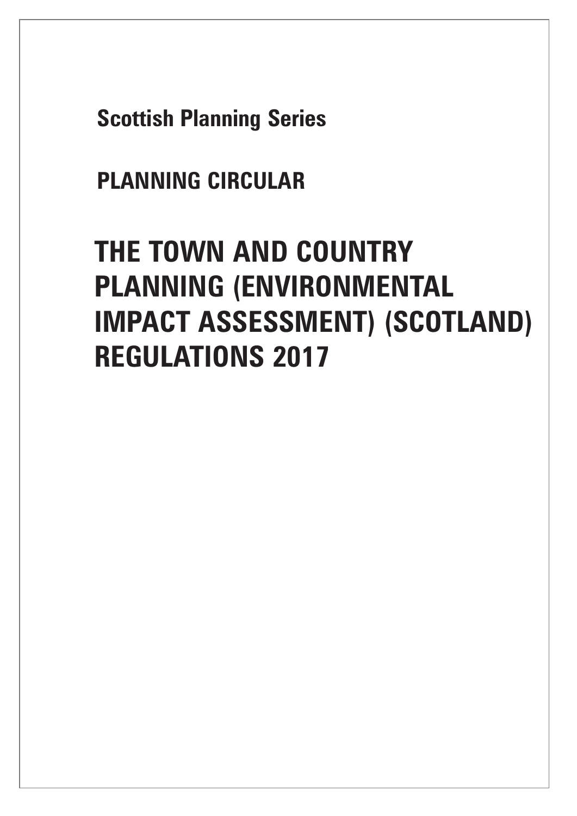**Scottish Planning Series**

**PLANNING CIRCULAR** 

# **THE TOWN AND COUNTRY PLANNING (ENVIRONMENTAL IMPACT ASSESSMENT) (SCOTLAND) REGULATIONS 2017**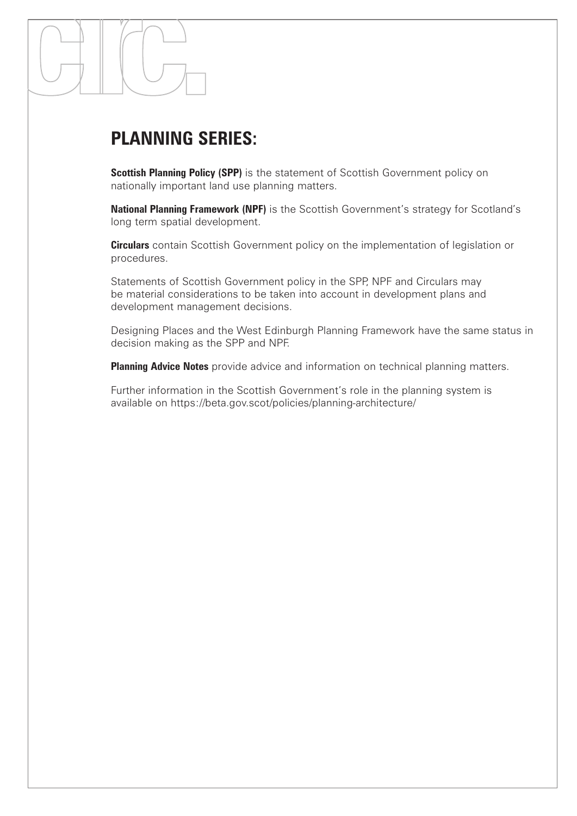# **PLANNING SERIES:**

**Scottish Planning Policy (SPP)** is the statement of Scottish Government policy on nationally important land use planning matters.

**National Planning Framework (NPF)** is the Scottish Government's strategy for Scotland's long term spatial development.

**Circulars** contain Scottish Government policy on the implementation of legislation or procedures.

Statements of Scottish Government policy in the SPP, NPF and Circulars may be material considerations to be taken into account in development plans and development management decisions.

Designing Places and the West Edinburgh Planning Framework have the same status in decision making as the SPP and NPF.

**Planning Advice Notes** provide advice and information on technical planning matters.

Further information in the Scottish Government's role in the planning system is available on <https://beta.gov.scot/policies/planning-architecture/>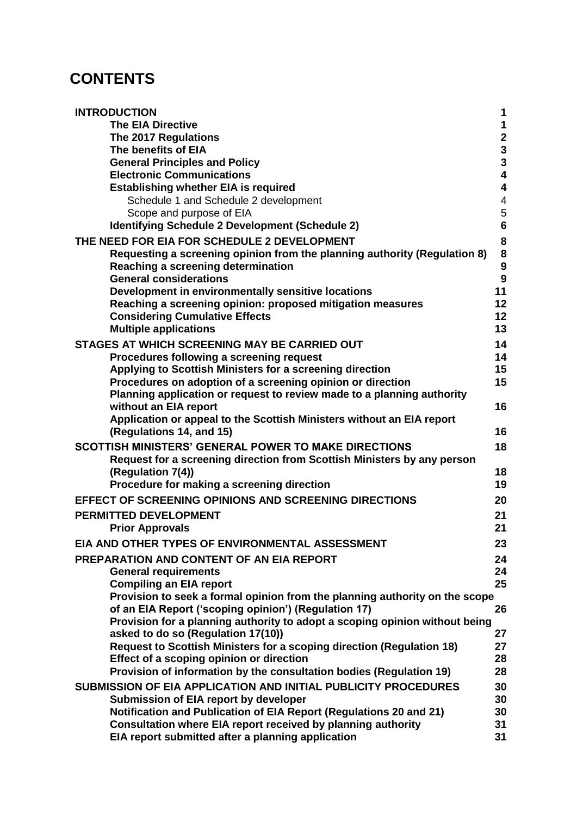# **CONTENTS**

| <b>INTRODUCTION</b>                                                         | 1                       |  |
|-----------------------------------------------------------------------------|-------------------------|--|
| <b>The EIA Directive</b>                                                    |                         |  |
| The 2017 Regulations                                                        |                         |  |
| The benefits of EIA                                                         |                         |  |
| <b>General Principles and Policy</b>                                        |                         |  |
| <b>Electronic Communications</b>                                            |                         |  |
| <b>Establishing whether EIA is required</b>                                 | $\overline{\mathbf{4}}$ |  |
| Schedule 1 and Schedule 2 development                                       | $\overline{4}$          |  |
| Scope and purpose of EIA                                                    | 5                       |  |
| Identifying Schedule 2 Development (Schedule 2)                             | $6\phantom{1}6$         |  |
| THE NEED FOR EIA FOR SCHEDULE 2 DEVELOPMENT                                 | 8                       |  |
| Requesting a screening opinion from the planning authority (Regulation 8)   | 8                       |  |
| Reaching a screening determination                                          | 9                       |  |
| <b>General considerations</b>                                               | $\boldsymbol{9}$        |  |
| Development in environmentally sensitive locations                          | 11                      |  |
| Reaching a screening opinion: proposed mitigation measures                  | 12                      |  |
| <b>Considering Cumulative Effects</b>                                       | 12                      |  |
| <b>Multiple applications</b>                                                | 13                      |  |
| STAGES AT WHICH SCREENING MAY BE CARRIED OUT                                | 14                      |  |
| Procedures following a screening request                                    | 14                      |  |
| Applying to Scottish Ministers for a screening direction                    | 15                      |  |
| Procedures on adoption of a screening opinion or direction                  | 15                      |  |
| Planning application or request to review made to a planning authority      |                         |  |
| without an EIA report                                                       | 16                      |  |
| Application or appeal to the Scottish Ministers without an EIA report       |                         |  |
| (Regulations 14, and 15)                                                    | 16                      |  |
| <b>SCOTTISH MINISTERS' GENERAL POWER TO MAKE DIRECTIONS</b>                 | 18                      |  |
| Request for a screening direction from Scottish Ministers by any person     |                         |  |
| (Regulation 7(4))                                                           | 18                      |  |
| Procedure for making a screening direction                                  | 19                      |  |
| <b>EFFECT OF SCREENING OPINIONS AND SCREENING DIRECTIONS</b>                | 20                      |  |
| PERMITTED DEVELOPMENT                                                       | 21                      |  |
| <b>Prior Approvals</b>                                                      | 21                      |  |
| EIA AND OTHER TYPES OF ENVIRONMENTAL ASSESSMENT                             | 23                      |  |
| PREPARATION AND CONTENT OF AN EIA REPORT                                    | 24                      |  |
| <b>General requirements</b>                                                 | 24                      |  |
| <b>Compiling an EIA report</b>                                              | 25                      |  |
| Provision to seek a formal opinion from the planning authority on the scope |                         |  |
| of an EIA Report ('scoping opinion') (Regulation 17)                        | 26                      |  |
| Provision for a planning authority to adopt a scoping opinion without being |                         |  |
| asked to do so (Regulation 17(10))                                          | 27                      |  |
| Request to Scottish Ministers for a scoping direction (Regulation 18)       | 27                      |  |
| Effect of a scoping opinion or direction                                    | 28                      |  |
| Provision of information by the consultation bodies (Regulation 19)         | 28                      |  |
| SUBMISSION OF EIA APPLICATION AND INITIAL PUBLICITY PROCEDURES              |                         |  |
| Submission of EIA report by developer                                       |                         |  |
| Notification and Publication of EIA Report (Regulations 20 and 21)          | 30                      |  |
| Consultation where EIA report received by planning authority                | 31                      |  |
| EIA report submitted after a planning application                           | 31                      |  |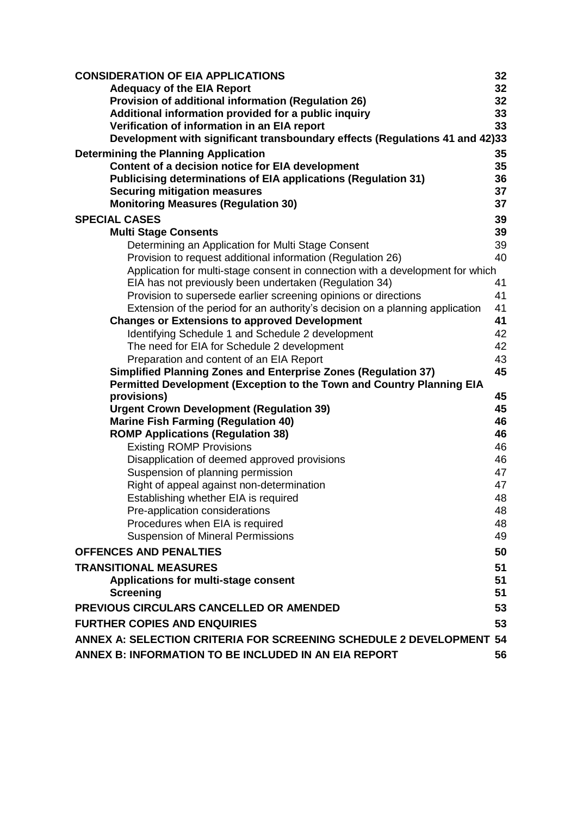| <b>CONSIDERATION OF EIA APPLICATIONS</b>                                                                                                |          |  |
|-----------------------------------------------------------------------------------------------------------------------------------------|----------|--|
| <b>Adequacy of the EIA Report</b>                                                                                                       |          |  |
| Provision of additional information (Regulation 26)                                                                                     |          |  |
| Additional information provided for a public inquiry<br>Verification of information in an EIA report                                    | 33<br>33 |  |
| Development with significant transboundary effects (Regulations 41 and 42)33                                                            |          |  |
| <b>Determining the Planning Application</b>                                                                                             | 35       |  |
| Content of a decision notice for EIA development                                                                                        | 35       |  |
| Publicising determinations of EIA applications (Regulation 31)                                                                          |          |  |
| <b>Securing mitigation measures</b>                                                                                                     | 36<br>37 |  |
| <b>Monitoring Measures (Regulation 30)</b>                                                                                              | 37       |  |
| <b>SPECIAL CASES</b>                                                                                                                    | 39       |  |
| <b>Multi Stage Consents</b>                                                                                                             | 39       |  |
| Determining an Application for Multi Stage Consent                                                                                      | 39       |  |
| Provision to request additional information (Regulation 26)                                                                             | 40       |  |
| Application for multi-stage consent in connection with a development for which                                                          |          |  |
| EIA has not previously been undertaken (Regulation 34)                                                                                  | 41       |  |
| Provision to supersede earlier screening opinions or directions                                                                         | 41       |  |
| Extension of the period for an authority's decision on a planning application                                                           | 41       |  |
| <b>Changes or Extensions to approved Development</b>                                                                                    | 41       |  |
| Identifying Schedule 1 and Schedule 2 development                                                                                       | 42       |  |
| The need for EIA for Schedule 2 development                                                                                             | 42       |  |
| Preparation and content of an EIA Report                                                                                                | 43<br>45 |  |
| Simplified Planning Zones and Enterprise Zones (Regulation 37)<br>Permitted Development (Exception to the Town and Country Planning EIA |          |  |
| provisions)                                                                                                                             | 45       |  |
| <b>Urgent Crown Development (Regulation 39)</b>                                                                                         |          |  |
| <b>Marine Fish Farming (Regulation 40)</b>                                                                                              |          |  |
| <b>ROMP Applications (Regulation 38)</b>                                                                                                | 46       |  |
| <b>Existing ROMP Provisions</b>                                                                                                         | 46       |  |
| Disapplication of deemed approved provisions                                                                                            | 46       |  |
| Suspension of planning permission                                                                                                       | 47       |  |
| Right of appeal against non-determination                                                                                               | 47       |  |
| Establishing whether EIA is required                                                                                                    | 48       |  |
| Pre-application considerations                                                                                                          | 48       |  |
| Procedures when EIA is required                                                                                                         | 48       |  |
| <b>Suspension of Mineral Permissions</b>                                                                                                | 49       |  |
| <b>OFFENCES AND PENALTIES</b>                                                                                                           |          |  |
| <b>TRANSITIONAL MEASURES</b>                                                                                                            | 51       |  |
| <b>Applications for multi-stage consent</b>                                                                                             | 51       |  |
| <b>Screening</b>                                                                                                                        | 51       |  |
| PREVIOUS CIRCULARS CANCELLED OR AMENDED                                                                                                 | 53       |  |
| <b>FURTHER COPIES AND ENQUIRIES</b>                                                                                                     |          |  |
| ANNEX A: SELECTION CRITERIA FOR SCREENING SCHEDULE 2 DEVELOPMENT 54                                                                     |          |  |
| ANNEX B: INFORMATION TO BE INCLUDED IN AN EIA REPORT                                                                                    |          |  |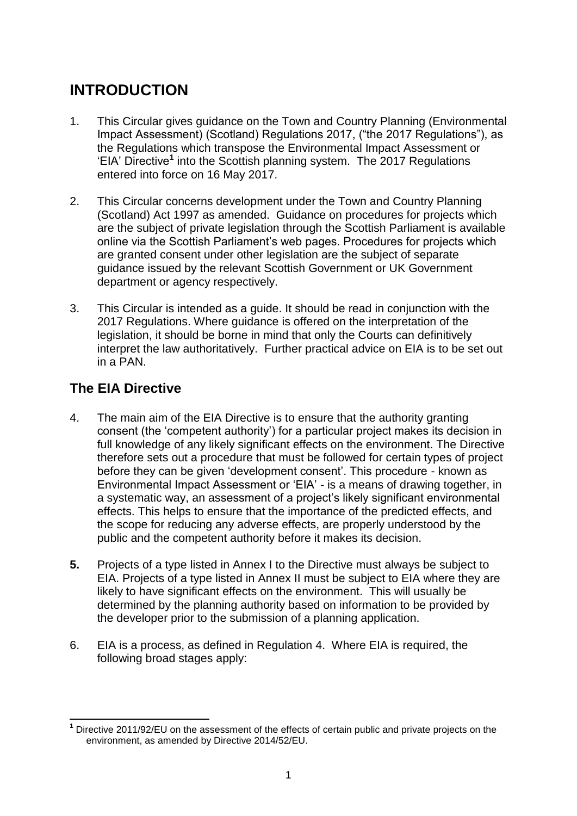# <span id="page-6-0"></span>**INTRODUCTION**

- 1. This Circular gives guidance on the Town and Country Planning (Environmental Impact Assessment) (Scotland) Regulations 2017, ("the 2017 Regulations"), as the Regulations which transpose the Environmental Impact Assessment or 'EIA' Directive**<sup>1</sup>** into the Scottish planning system. The 2017 Regulations entered into force on 16 May 2017.
- 2. This Circular concerns development under the Town and Country Planning (Scotland) Act 1997 as amended. Guidance on procedures for projects which are the subject of private legislation through the Scottish Parliament is available online via the Scottish Parliament's web pages. Procedures for projects which are granted consent under other legislation are the subject of separate guidance issued by the relevant Scottish Government or UK Government department or agency respectively.
- 3. This Circular is intended as a guide. It should be read in conjunction with the 2017 Regulations. Where guidance is offered on the interpretation of the legislation, it should be borne in mind that only the Courts can definitively interpret the law authoritatively. Further practical advice on EIA is to be set out in a PAN.

## <span id="page-6-1"></span>**The EIA Directive**

- 4. The main aim of the EIA Directive is to ensure that the authority granting consent (the 'competent authority') for a particular project makes its decision in full knowledge of any likely significant effects on the environment. The Directive therefore sets out a procedure that must be followed for certain types of project before they can be given 'development consent'. This procedure - known as Environmental Impact Assessment or 'EIA' - is a means of drawing together, in a systematic way, an assessment of a project's likely significant environmental effects. This helps to ensure that the importance of the predicted effects, and the scope for reducing any adverse effects, are properly understood by the public and the competent authority before it makes its decision.
- **5.** Projects of a type listed in Annex I to the Directive must always be subject to EIA. Projects of a type listed in Annex II must be subject to EIA where they are likely to have significant effects on the environment. This will usually be determined by the planning authority based on information to be provided by the developer prior to the submission of a planning application.
- 6. EIA is a process, as defined in Regulation 4. Where EIA is required, the following broad stages apply:

<sup>-</sup>**<sup>1</sup>** Directive 2011/92/EU on the assessment of the effects of certain public and private projects on the environment, as amended by Directive 2014/52/EU.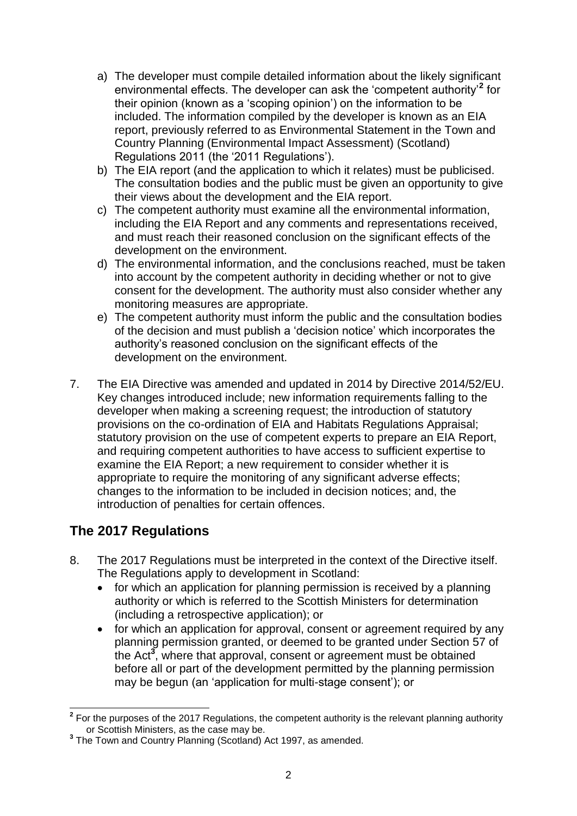- a) The developer must compile detailed information about the likely significant environmental effects. The developer can ask the 'competent authority'**<sup>2</sup>** for their opinion (known as a 'scoping opinion') on the information to be included. The information compiled by the developer is known as an EIA report, previously referred to as Environmental Statement in the Town and Country Planning (Environmental Impact Assessment) (Scotland) Regulations 2011 (the '2011 Regulations').
- b) The EIA report (and the application to which it relates) must be publicised. The consultation bodies and the public must be given an opportunity to give their views about the development and the EIA report.
- c) The competent authority must examine all the environmental information, including the EIA Report and any comments and representations received, and must reach their reasoned conclusion on the significant effects of the development on the environment.
- d) The environmental information, and the conclusions reached, must be taken into account by the competent authority in deciding whether or not to give consent for the development. The authority must also consider whether any monitoring measures are appropriate.
- e) The competent authority must inform the public and the consultation bodies of the decision and must publish a 'decision notice' which incorporates the authority's reasoned conclusion on the significant effects of the development on the environment.
- 7. The EIA Directive was amended and updated in 2014 by Directive 2014/52/EU. Key changes introduced include; new information requirements falling to the developer when making a screening request; the introduction of statutory provisions on the co-ordination of EIA and Habitats Regulations Appraisal; statutory provision on the use of competent experts to prepare an EIA Report, and requiring competent authorities to have access to sufficient expertise to examine the EIA Report; a new requirement to consider whether it is appropriate to require the monitoring of any significant adverse effects; changes to the information to be included in decision notices; and, the introduction of penalties for certain offences.

# <span id="page-7-0"></span>**The 2017 Regulations**

- 8. The 2017 Regulations must be interpreted in the context of the Directive itself. The Regulations apply to development in Scotland:
	- for which an application for planning permission is received by a planning authority or which is referred to the Scottish Ministers for determination (including a retrospective application); or
	- for which an application for approval, consent or agreement required by any planning permission granted, or deemed to be granted under Section 57 of the Act**<sup>3</sup>** , where that approval, consent or agreement must be obtained before all or part of the development permitted by the planning permission may be begun (an 'application for multi-stage consent'); or

 **2** For the purposes of the 2017 Regulations, the competent authority is the relevant planning authority or Scottish Ministers, as the case may be.

**<sup>3</sup>** The Town and Country Planning (Scotland) Act 1997, as amended.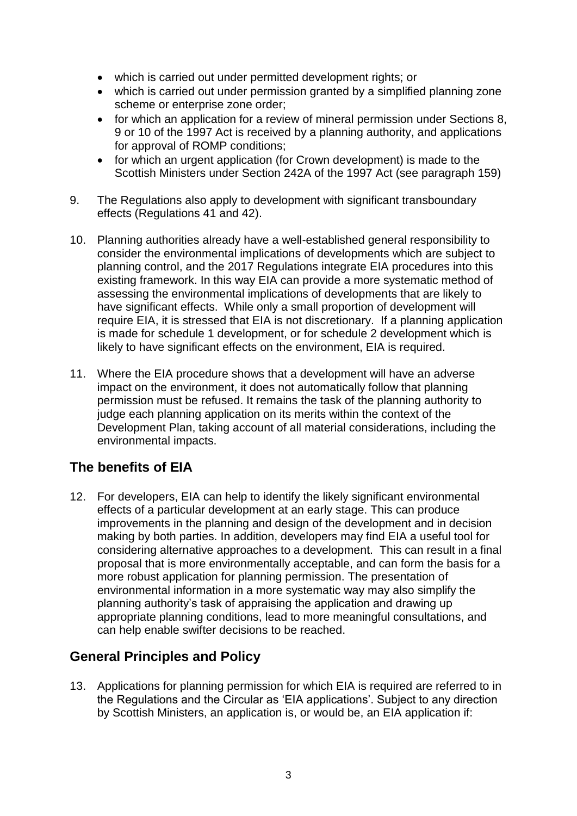- which is carried out under permitted development rights; or
- which is carried out under permission granted by a simplified planning zone scheme or enterprise zone order;
- for which an application for a review of mineral permission under Sections 8, 9 or 10 of the 1997 Act is received by a planning authority, and applications for approval of ROMP conditions;
- for which an urgent application (for Crown development) is made to the Scottish Ministers under Section 242A of the 1997 Act (see paragraph 159)
- 9. The Regulations also apply to development with significant transboundary effects (Regulations 41 and 42).
- 10. Planning authorities already have a well-established general responsibility to consider the environmental implications of developments which are subject to planning control, and the 2017 Regulations integrate EIA procedures into this existing framework. In this way EIA can provide a more systematic method of assessing the environmental implications of developments that are likely to have significant effects. While only a small proportion of development will require EIA, it is stressed that EIA is not discretionary. If a planning application is made for schedule 1 development, or for schedule 2 development which is likely to have significant effects on the environment, EIA is required.
- 11. Where the EIA procedure shows that a development will have an adverse impact on the environment, it does not automatically follow that planning permission must be refused. It remains the task of the planning authority to judge each planning application on its merits within the context of the Development Plan, taking account of all material considerations, including the environmental impacts.

# <span id="page-8-0"></span>**The benefits of EIA**

12. For developers, EIA can help to identify the likely significant environmental effects of a particular development at an early stage. This can produce improvements in the planning and design of the development and in decision making by both parties. In addition, developers may find EIA a useful tool for considering alternative approaches to a development. This can result in a final proposal that is more environmentally acceptable, and can form the basis for a more robust application for planning permission. The presentation of environmental information in a more systematic way may also simplify the planning authority's task of appraising the application and drawing up appropriate planning conditions, lead to more meaningful consultations, and can help enable swifter decisions to be reached.

## <span id="page-8-1"></span>**General Principles and Policy**

13. Applications for planning permission for which EIA is required are referred to in the Regulations and the Circular as 'EIA applications'. Subject to any direction by Scottish Ministers, an application is, or would be, an EIA application if: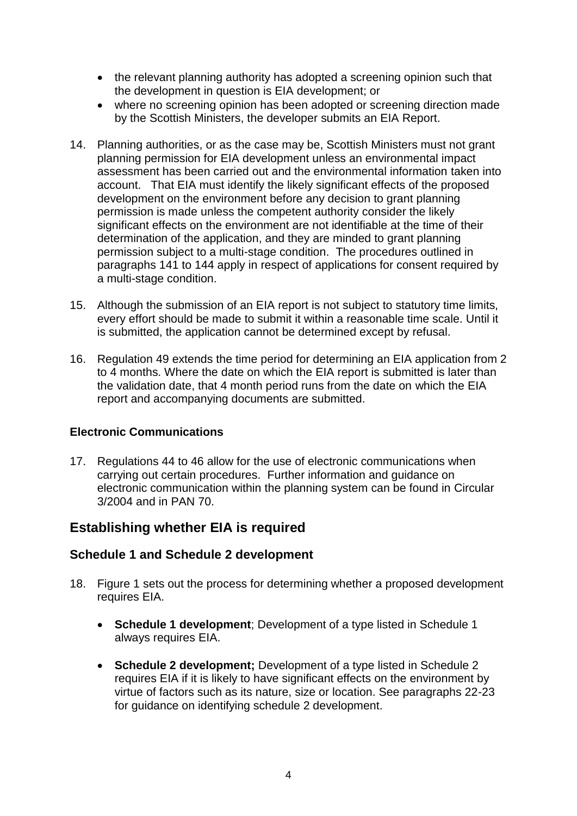- the relevant planning authority has adopted a screening opinion such that the development in question is EIA development; or
- where no screening opinion has been adopted or screening direction made by the Scottish Ministers, the developer submits an EIA Report.
- 14. Planning authorities, or as the case may be, Scottish Ministers must not grant planning permission for EIA development unless an environmental impact assessment has been carried out and the environmental information taken into account. That EIA must identify the likely significant effects of the proposed development on the environment before any decision to grant planning permission is made unless the competent authority consider the likely significant effects on the environment are not identifiable at the time of their determination of the application, and they are minded to grant planning permission subject to a multi-stage condition. The procedures outlined in paragraphs 141 to 144 apply in respect of applications for consent required by a multi-stage condition.
- 15. Although the submission of an EIA report is not subject to statutory time limits, every effort should be made to submit it within a reasonable time scale. Until it is submitted, the application cannot be determined except by refusal.
- 16. Regulation 49 extends the time period for determining an EIA application from 2 to 4 months. Where the date on which the EIA report is submitted is later than the validation date, that 4 month period runs from the date on which the EIA report and accompanying documents are submitted.

#### <span id="page-9-0"></span>**Electronic Communications**

17. Regulations 44 to 46 allow for the use of electronic communications when carrying out certain procedures. Further information and guidance on electronic communication within the planning system can be found in [Circular](http://www.gov.scot/Resource/Doc/47060/0026294.pdf)  [3/2004](http://www.gov.scot/Resource/Doc/47060/0026294.pdf) and in [PAN 70.](http://www.gov.scot/Publications/2008/11/17142750/0)

#### <span id="page-9-1"></span>**Establishing whether EIA is required**

#### <span id="page-9-2"></span>**Schedule 1 and Schedule 2 development**

- 18. Figure 1 sets out the process for determining whether a proposed development requires EIA.
	- **Schedule 1 development**; Development of a type listed in Schedule 1 always requires EIA.
	- **Schedule 2 development;** Development of a type listed in Schedule 2 requires EIA if it is likely to have significant effects on the environment by virtue of factors such as its nature, size or location. See paragraphs 22-23 for guidance on identifying schedule 2 development.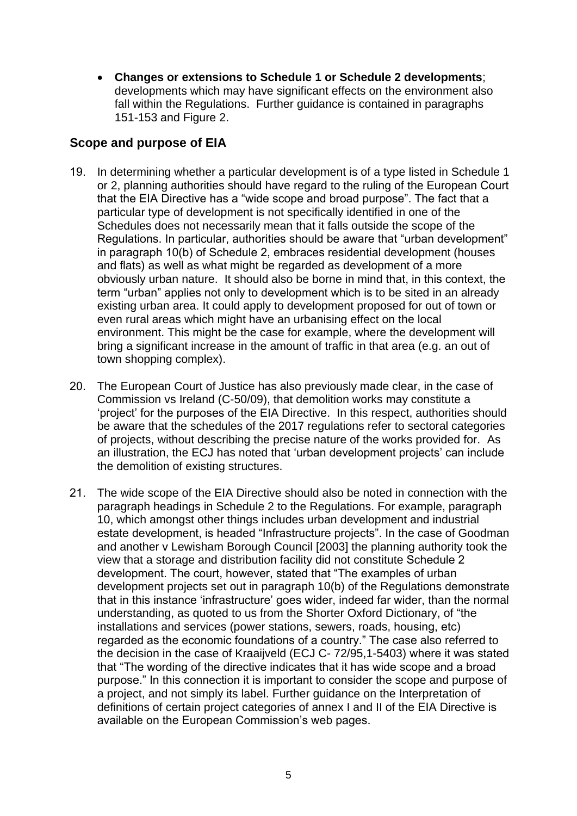**Changes or extensions to Schedule 1 or Schedule 2 developments**; developments which may have significant effects on the environment also fall within the Regulations. Further guidance is contained in paragraphs 151-153 and Figure 2.

#### <span id="page-10-0"></span>**Scope and purpose of EIA**

- 19. In determining whether a particular development is of a type listed in Schedule 1 or 2, planning authorities should have regard to the ruling of the European Court that the EIA Directive has a "wide scope and broad purpose". The fact that a particular type of development is not specifically identified in one of the Schedules does not necessarily mean that it falls outside the scope of the Regulations. In particular, authorities should be aware that "urban development" in paragraph 10(b) of Schedule 2, embraces residential development (houses and flats) as well as what might be regarded as development of a more obviously urban nature. It should also be borne in mind that, in this context, the term "urban" applies not only to development which is to be sited in an already existing urban area. It could apply to development proposed for out of town or even rural areas which might have an urbanising effect on the local environment. This might be the case for example, where the development will bring a significant increase in the amount of traffic in that area (e.g. an out of town shopping complex).
- 20. The European Court of Justice has also previously made clear, in the case of Commission vs Ireland (C-50/09), that demolition works may constitute a 'project' for the purposes of the EIA Directive. In this respect, authorities should be aware that the schedules of the 2017 regulations refer to sectoral categories of projects, without describing the precise nature of the works provided for. As an illustration, the ECJ has noted that 'urban development projects' can include the demolition of existing structures.
- <span id="page-10-1"></span>21. The wide scope of the EIA Directive should also be noted in connection with the paragraph headings in Schedule 2 to the Regulations. For example, paragraph 10, which amongst other things includes urban development and industrial estate development, is headed "Infrastructure projects". In the case of Goodman and another v Lewisham Borough Council [2003] the planning authority took the view that a storage and distribution facility did not constitute Schedule 2 development. The court, however, stated that "The examples of urban development projects set out in paragraph 10(b) of the Regulations demonstrate that in this instance 'infrastructure' goes wider, indeed far wider, than the normal understanding, as quoted to us from the Shorter Oxford Dictionary, of "the installations and services (power stations, sewers, roads, housing, etc) regarded as the economic foundations of a country." The case also referred to the decision in the case of Kraaijveld (ECJ C- 72/95,1-5403) where it was stated that "The wording of the directive indicates that it has wide scope and a broad purpose." In this connection it is important to consider the scope and purpose of a project, and not simply its label. Further guidance on the Interpretation of definitions of certain project categories of annex I and II of the EIA Directive is available on the European Commission's web pages.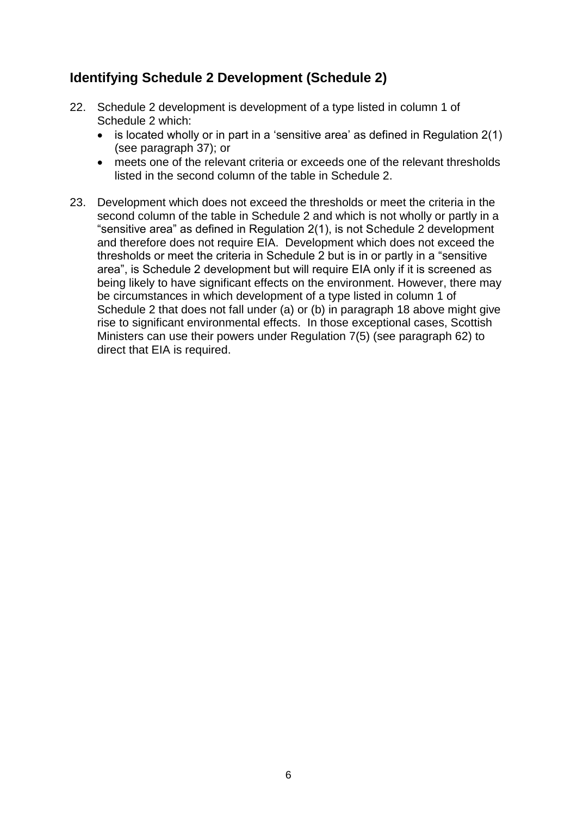# **Identifying Schedule 2 Development (Schedule 2)**

- 22. Schedule 2 development is development of a type listed in column 1 of Schedule 2 which:
	- is located wholly or in part in a 'sensitive area' as defined in Regulation 2(1) (see paragraph 37); or
	- meets one of the relevant criteria or exceeds one of the relevant thresholds listed in the second column of the table in Schedule 2.
- 23. Development which does not exceed the thresholds or meet the criteria in the second column of the table in Schedule 2 and which is not wholly or partly in a "sensitive area" as defined in Regulation 2(1), is not Schedule 2 development and therefore does not require EIA. Development which does not exceed the thresholds or meet the criteria in Schedule 2 but is in or partly in a "sensitive area", is Schedule 2 development but will require EIA only if it is screened as being likely to have significant effects on the environment. However, there may be circumstances in which development of a type listed in column 1 of Schedule 2 that does not fall under (a) or (b) in paragraph 18 above might give rise to significant environmental effects. In those exceptional cases, Scottish Ministers can use their powers under Regulation 7(5) (see paragraph 62) to direct that EIA is required.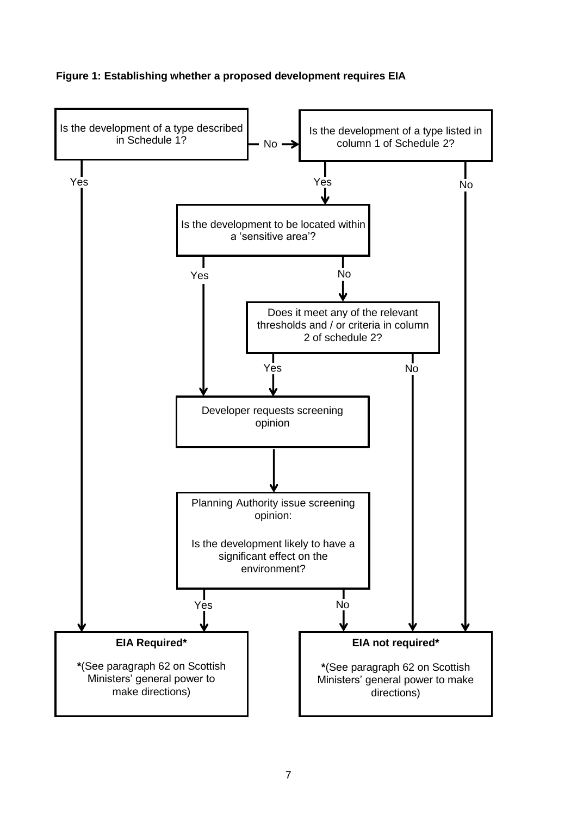

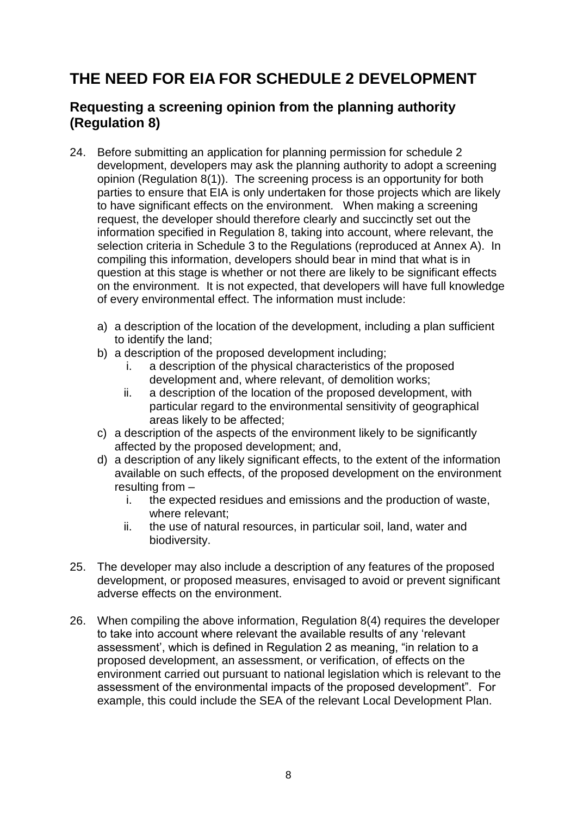# <span id="page-13-0"></span>**THE NEED FOR EIA FOR SCHEDULE 2 DEVELOPMENT**

#### <span id="page-13-1"></span>**Requesting a screening opinion from the planning authority (Regulation 8)**

- 24. Before submitting an application for planning permission for schedule 2 development, developers may ask the planning authority to adopt a screening opinion (Regulation 8(1)). The screening process is an opportunity for both parties to ensure that EIA is only undertaken for those projects which are likely to have significant effects on the environment. When making a screening request, the developer should therefore clearly and succinctly set out the information specified in Regulation 8, taking into account, where relevant, the selection criteria in Schedule 3 to the Regulations (reproduced at Annex A). In compiling this information, developers should bear in mind that what is in question at this stage is whether or not there are likely to be significant effects on the environment. It is not expected, that developers will have full knowledge of every environmental effect. The information must include:
	- a) a description of the location of the development, including a plan sufficient to identify the land;
	- b) a description of the proposed development including;
		- i. a description of the physical characteristics of the proposed development and, where relevant, of demolition works;
		- ii. a description of the location of the proposed development, with particular regard to the environmental sensitivity of geographical areas likely to be affected;
	- c) a description of the aspects of the environment likely to be significantly affected by the proposed development; and,
	- d) a description of any likely significant effects, to the extent of the information available on such effects, of the proposed development on the environment resulting from –
		- i. the expected residues and emissions and the production of waste, where relevant;
		- ii. the use of natural resources, in particular soil, land, water and biodiversity.
- 25. The developer may also include a description of any features of the proposed development, or proposed measures, envisaged to avoid or prevent significant adverse effects on the environment.
- 26. When compiling the above information, Regulation 8(4) requires the developer to take into account where relevant the available results of any 'relevant assessment', which is defined in Regulation 2 as meaning, "in relation to a proposed development, an assessment, or verification, of effects on the environment carried out pursuant to national legislation which is relevant to the assessment of the environmental impacts of the proposed development". For example, this could include the SEA of the relevant Local Development Plan.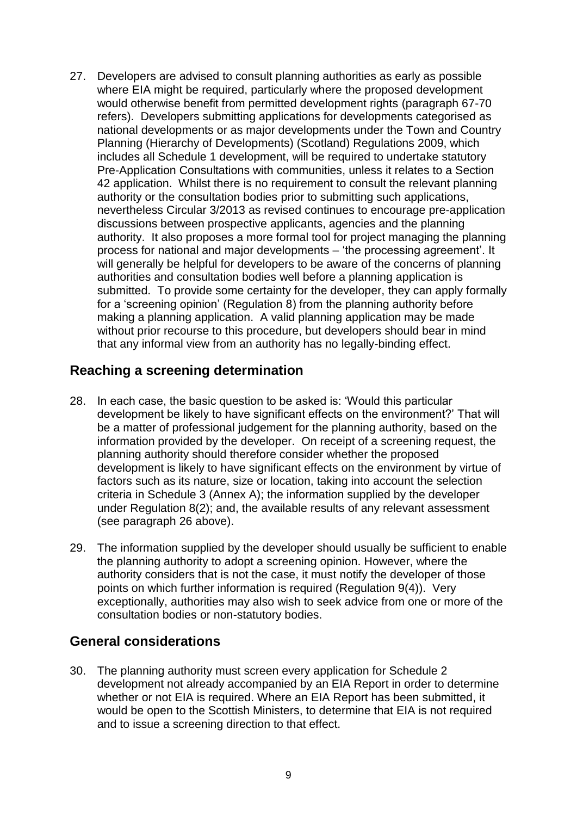27. Developers are advised to consult planning authorities as early as possible where EIA might be required, particularly where the proposed development would otherwise benefit from permitted development rights (paragraph 67-70 refers). Developers submitting applications for developments categorised as national developments or as major developments under the Town and Country Planning (Hierarchy of Developments) (Scotland) Regulations 2009, which includes all Schedule 1 development, will be required to undertake statutory Pre-Application Consultations with communities, unless it relates to a Section 42 application. Whilst there is no requirement to consult the relevant planning authority or the consultation bodies prior to submitting such applications, nevertheless Circular 3/2013 as revised continues to encourage pre-application discussions between prospective applicants, agencies and the planning authority. It also proposes a more formal tool for project managing the planning process for national and major developments – 'the processing agreement'. It will generally be helpful for developers to be aware of the concerns of planning authorities and consultation bodies well before a planning application is submitted. To provide some certainty for the developer, they can apply formally for a 'screening opinion' (Regulation 8) from the planning authority before making a planning application. A valid planning application may be made without prior recourse to this procedure, but developers should bear in mind that any informal view from an authority has no legally-binding effect.

#### <span id="page-14-0"></span>**Reaching a screening determination**

- 28. In each case, the basic question to be asked is: 'Would this particular development be likely to have significant effects on the environment?' That will be a matter of professional judgement for the planning authority, based on the information provided by the developer. On receipt of a screening request, the planning authority should therefore consider whether the proposed development is likely to have significant effects on the environment by virtue of factors such as its nature, size or location, taking into account the selection criteria in Schedule 3 (Annex A); the information supplied by the developer under Regulation 8(2); and, the available results of any relevant assessment (see paragraph 26 above).
- 29. The information supplied by the developer should usually be sufficient to enable the planning authority to adopt a screening opinion. However, where the authority considers that is not the case, it must notify the developer of those points on which further information is required (Regulation 9(4)). Very exceptionally, authorities may also wish to seek advice from one or more of the consultation bodies or non-statutory bodies.

## <span id="page-14-1"></span>**General considerations**

30. The planning authority must screen every application for Schedule 2 development not already accompanied by an EIA Report in order to determine whether or not EIA is required. Where an EIA Report has been submitted, it would be open to the Scottish Ministers, to determine that EIA is not required and to issue a screening direction to that effect.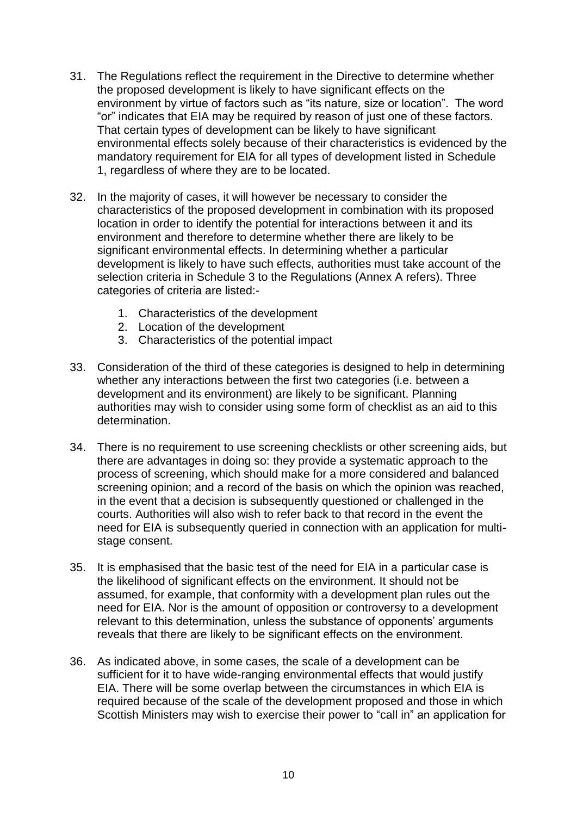- 31. The Regulations reflect the requirement in the Directive to determine whether the proposed development is likely to have significant effects on the environment by virtue of factors such as "its nature, size or location". The word "or" indicates that EIA may be required by reason of just one of these factors. That certain types of development can be likely to have significant environmental effects solely because of their characteristics is evidenced by the mandatory requirement for EIA for all types of development listed in Schedule 1, regardless of where they are to be located.
- 32. In the majority of cases, it will however be necessary to consider the characteristics of the proposed development in combination with its proposed location in order to identify the potential for interactions between it and its environment and therefore to determine whether there are likely to be significant environmental effects. In determining whether a particular development is likely to have such effects, authorities must take account of the selection criteria in Schedule 3 to the Regulations (Annex A refers). Three categories of criteria are listed:-
	- 1. Characteristics of the development
	- 2. Location of the development
	- 3. Characteristics of the potential impact
- 33. Consideration of the third of these categories is designed to help in determining whether any interactions between the first two categories (i.e. between a development and its environment) are likely to be significant. Planning authorities may wish to consider using some form of checklist as an aid to this determination.
- 34. There is no requirement to use screening checklists or other screening aids, but there are advantages in doing so: they provide a systematic approach to the process of screening, which should make for a more considered and balanced screening opinion; and a record of the basis on which the opinion was reached, in the event that a decision is subsequently questioned or challenged in the courts. Authorities will also wish to refer back to that record in the event the need for EIA is subsequently queried in connection with an application for multistage consent.
- 35. It is emphasised that the basic test of the need for EIA in a particular case is the likelihood of significant effects on the environment. It should not be assumed, for example, that conformity with a development plan rules out the need for EIA. Nor is the amount of opposition or controversy to a development relevant to this determination, unless the substance of opponents' arguments reveals that there are likely to be significant effects on the environment.
- 36. As indicated above, in some cases, the scale of a development can be sufficient for it to have wide-ranging environmental effects that would justify EIA. There will be some overlap between the circumstances in which EIA is required because of the scale of the development proposed and those in which Scottish Ministers may wish to exercise their power to "call in" an application for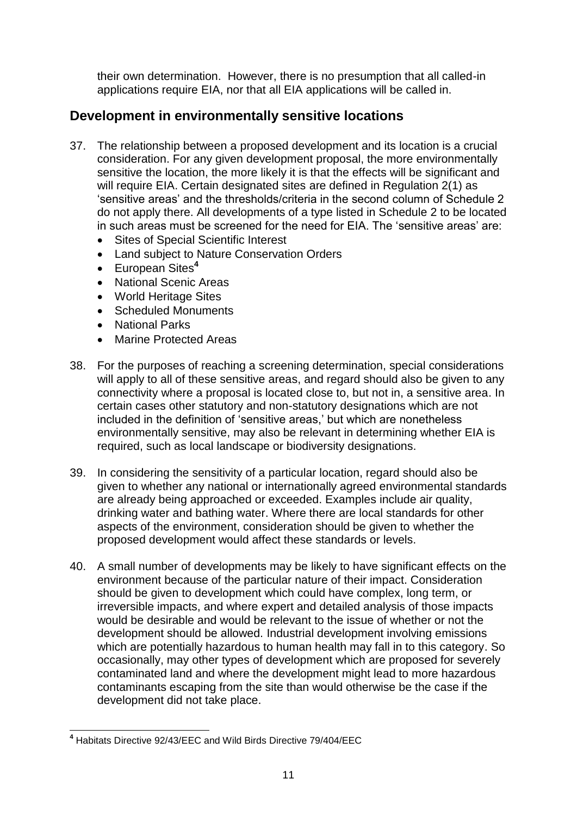their own determination. However, there is no presumption that all called-in applications require EIA, nor that all EIA applications will be called in.

## <span id="page-16-0"></span>**Development in environmentally sensitive locations**

- 37. The relationship between a proposed development and its location is a crucial consideration. For any given development proposal, the more environmentally sensitive the location, the more likely it is that the effects will be significant and will require EIA. Certain designated sites are defined in Regulation 2(1) as 'sensitive areas' and the thresholds/criteria in the second column of Schedule 2 do not apply there. All developments of a type listed in Schedule 2 to be located in such areas must be screened for the need for EIA. The 'sensitive areas' are:
	- Sites of Special Scientific Interest
	- Land subject to Nature Conservation Orders
	- European Sites**<sup>4</sup>**
	- National Scenic Areas
	- World Heritage Sites
	- Scheduled Monuments
	- National Parks
	- Marine Protected Areas
- 38. For the purposes of reaching a screening determination, special considerations will apply to all of these sensitive areas, and regard should also be given to any connectivity where a proposal is located close to, but not in, a sensitive area. In certain cases other statutory and non-statutory designations which are not included in the definition of 'sensitive areas,' but which are nonetheless environmentally sensitive, may also be relevant in determining whether EIA is required, such as local landscape or biodiversity designations.
- 39. In considering the sensitivity of a particular location, regard should also be given to whether any national or internationally agreed environmental standards are already being approached or exceeded. Examples include air quality, drinking water and bathing water. Where there are local standards for other aspects of the environment, consideration should be given to whether the proposed development would affect these standards or levels.
- 40. A small number of developments may be likely to have significant effects on the environment because of the particular nature of their impact. Consideration should be given to development which could have complex, long term, or irreversible impacts, and where expert and detailed analysis of those impacts would be desirable and would be relevant to the issue of whether or not the development should be allowed. Industrial development involving emissions which are potentially hazardous to human health may fall in to this category. So occasionally, may other types of development which are proposed for severely contaminated land and where the development might lead to more hazardous contaminants escaping from the site than would otherwise be the case if the development did not take place.

<span id="page-16-1"></span> $\overline{a}$ **<sup>4</sup>** Habitats Directive 92/43/EEC and Wild Birds Directive 79/404/EEC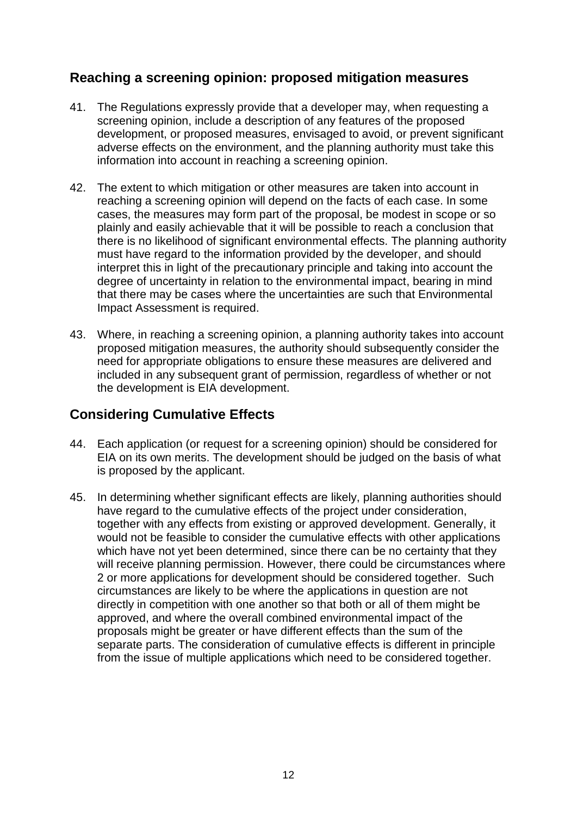#### **Reaching a screening opinion: proposed mitigation measures**

- 41. The Regulations expressly provide that a developer may, when requesting a screening opinion, include a description of any features of the proposed development, or proposed measures, envisaged to avoid, or prevent significant adverse effects on the environment, and the planning authority must take this information into account in reaching a screening opinion.
- 42. The extent to which mitigation or other measures are taken into account in reaching a screening opinion will depend on the facts of each case. In some cases, the measures may form part of the proposal, be modest in scope or so plainly and easily achievable that it will be possible to reach a conclusion that there is no likelihood of significant environmental effects. The planning authority must have regard to the information provided by the developer, and should interpret this in light of the precautionary principle and taking into account the degree of uncertainty in relation to the environmental impact, bearing in mind that there may be cases where the uncertainties are such that Environmental Impact Assessment is required.
- 43. Where, in reaching a screening opinion, a planning authority takes into account proposed mitigation measures, the authority should subsequently consider the need for appropriate obligations to ensure these measures are delivered and included in any subsequent grant of permission, regardless of whether or not the development is EIA development.

#### <span id="page-17-0"></span>**Considering Cumulative Effects**

- 44. Each application (or request for a screening opinion) should be considered for EIA on its own merits. The development should be judged on the basis of what is proposed by the applicant.
- <span id="page-17-1"></span>45. In determining whether significant effects are likely, planning authorities should have regard to the cumulative effects of the project under consideration, together with any effects from existing or approved development. Generally, it would not be feasible to consider the cumulative effects with other applications which have not yet been determined, since there can be no certainty that they will receive planning permission. However, there could be circumstances where 2 or more applications for development should be considered together. Such circumstances are likely to be where the applications in question are not directly in competition with one another so that both or all of them might be approved, and where the overall combined environmental impact of the proposals might be greater or have different effects than the sum of the separate parts. The consideration of cumulative effects is different in principle from the issue of multiple applications which need to be considered together.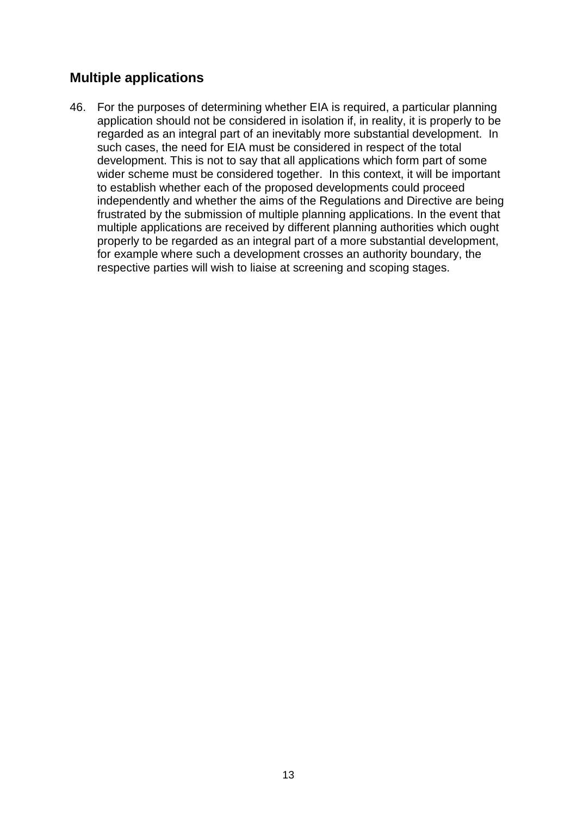## **Multiple applications**

<span id="page-18-0"></span>46. For the purposes of determining whether EIA is required, a particular planning application should not be considered in isolation if, in reality, it is properly to be regarded as an integral part of an inevitably more substantial development. In such cases, the need for EIA must be considered in respect of the total development. This is not to say that all applications which form part of some wider scheme must be considered together. In this context, it will be important to establish whether each of the proposed developments could proceed independently and whether the aims of the Regulations and Directive are being frustrated by the submission of multiple planning applications. In the event that multiple applications are received by different planning authorities which ought properly to be regarded as an integral part of a more substantial development, for example where such a development crosses an authority boundary, the respective parties will wish to liaise at screening and scoping stages.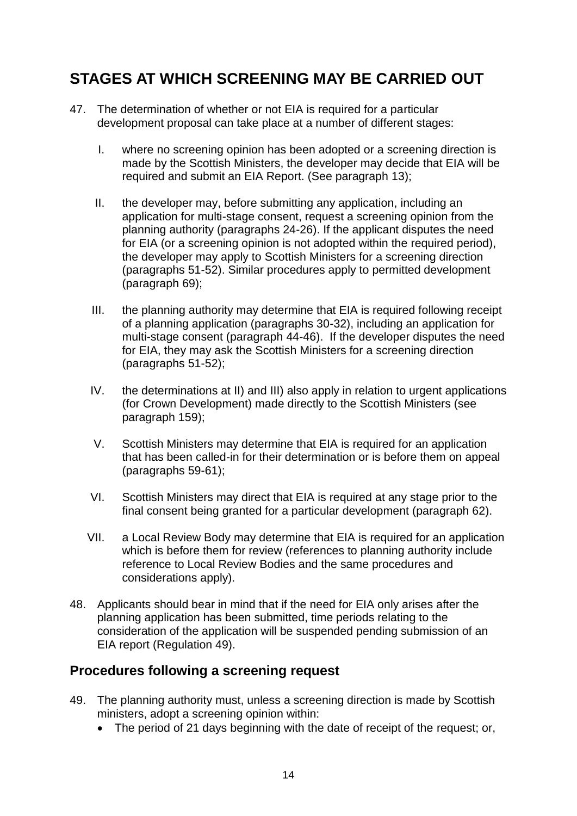# **STAGES AT WHICH SCREENING MAY BE CARRIED OUT**

- 47. The determination of whether or not EIA is required for a particular development proposal can take place at a number of different stages:
	- I. where no screening opinion has been adopted or a screening direction is made by the Scottish Ministers, the developer may decide that EIA will be required and submit an EIA Report. (See paragraph 13);
	- II. the developer may, before submitting any application, including an application for multi-stage consent, request a screening opinion from the planning authority (paragraphs 24-26). If the applicant disputes the need for EIA (or a screening opinion is not adopted within the required period), the developer may apply to Scottish Ministers for a screening direction (paragraphs 51-52). Similar procedures apply to permitted development (paragraph 69);
	- III. the planning authority may determine that EIA is required following receipt of a planning application (paragraphs 30-32), including an application for multi-stage consent (paragraph 44-46). If the developer disputes the need for EIA, they may ask the Scottish Ministers for a screening direction (paragraphs 51-52);
	- IV. the determinations at II) and III) also apply in relation to urgent applications (for Crown Development) made directly to the Scottish Ministers (see paragraph 159);
	- V. Scottish Ministers may determine that EIA is required for an application that has been called-in for their determination or is before them on appeal (paragraphs 59-61);
	- VI. Scottish Ministers may direct that EIA is required at any stage prior to the final consent being granted for a particular development (paragraph 62).
	- VII. a Local Review Body may determine that EIA is required for an application which is before them for review (references to planning authority include reference to Local Review Bodies and the same procedures and considerations apply).
- 48. Applicants should bear in mind that if the need for EIA only arises after the planning application has been submitted, time periods relating to the consideration of the application will be suspended pending submission of an EIA report (Regulation 49).

#### <span id="page-19-0"></span>**Procedures following a screening request**

- 49. The planning authority must, unless a screening direction is made by Scottish ministers, adopt a screening opinion within:
	- The period of 21 days beginning with the date of receipt of the request; or,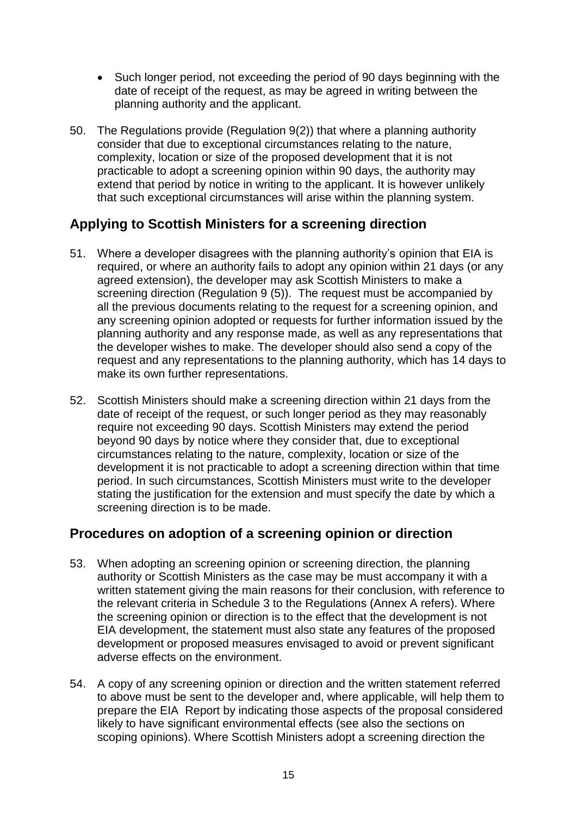- Such longer period, not exceeding the period of 90 days beginning with the date of receipt of the request, as may be agreed in writing between the planning authority and the applicant.
- 50. The Regulations provide (Regulation 9(2)) that where a planning authority consider that due to exceptional circumstances relating to the nature, complexity, location or size of the proposed development that it is not practicable to adopt a screening opinion within 90 days, the authority may extend that period by notice in writing to the applicant. It is however unlikely that such exceptional circumstances will arise within the planning system.

## <span id="page-20-0"></span>**Applying to Scottish Ministers for a screening direction**

- 51. Where a developer disagrees with the planning authority's opinion that EIA is required, or where an authority fails to adopt any opinion within 21 days (or any agreed extension), the developer may ask Scottish Ministers to make a screening direction (Regulation 9 (5)). The request must be accompanied by all the previous documents relating to the request for a screening opinion, and any screening opinion adopted or requests for further information issued by the planning authority and any response made, as well as any representations that the developer wishes to make. The developer should also send a copy of the request and any representations to the planning authority, which has 14 days to make its own further representations.
- 52. Scottish Ministers should make a screening direction within 21 days from the date of receipt of the request, or such longer period as they may reasonably require not exceeding 90 days. Scottish Ministers may extend the period beyond 90 days by notice where they consider that, due to exceptional circumstances relating to the nature, complexity, location or size of the development it is not practicable to adopt a screening direction within that time period. In such circumstances, Scottish Ministers must write to the developer stating the justification for the extension and must specify the date by which a screening direction is to be made.

## <span id="page-20-1"></span>**Procedures on adoption of a screening opinion or direction**

- 53. When adopting an screening opinion or screening direction, the planning authority or Scottish Ministers as the case may be must accompany it with a written statement giving the main reasons for their conclusion, with reference to the relevant criteria in Schedule 3 to the Regulations (Annex A refers). Where the screening opinion or direction is to the effect that the development is not EIA development, the statement must also state any features of the proposed development or proposed measures envisaged to avoid or prevent significant adverse effects on the environment.
- 54. A copy of any screening opinion or direction and the written statement referred to above must be sent to the developer and, where applicable, will help them to prepare the EIA Report by indicating those aspects of the proposal considered likely to have significant environmental effects (see also the sections on scoping opinions). Where Scottish Ministers adopt a screening direction the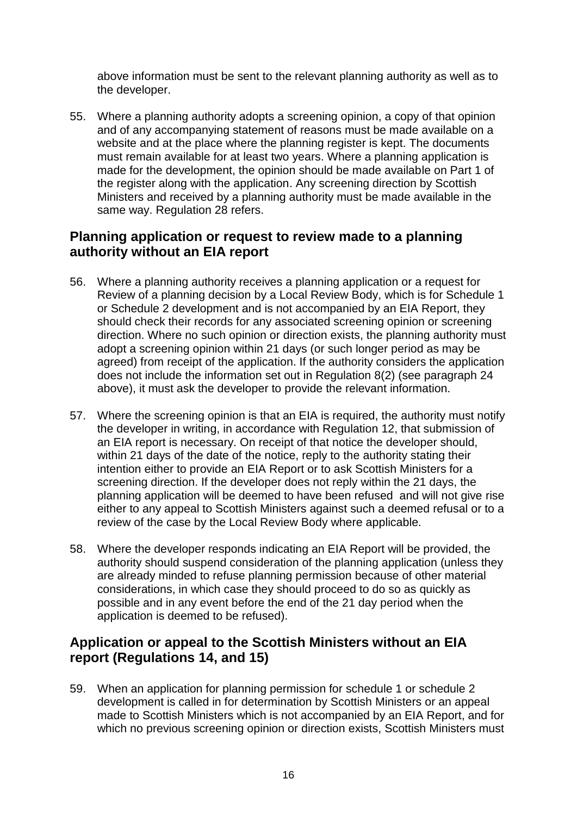above information must be sent to the relevant planning authority as well as to the developer.

55. Where a planning authority adopts a screening opinion, a copy of that opinion and of any accompanying statement of reasons must be made available on a website and at the place where the planning register is kept. The documents must remain available for at least two years. Where a planning application is made for the development, the opinion should be made available on Part 1 of the register along with the application. Any screening direction by Scottish Ministers and received by a planning authority must be made available in the same way. Regulation 28 refers.

#### <span id="page-21-0"></span>**Planning application or request to review made to a planning authority without an EIA report**

- 56. Where a planning authority receives a planning application or a request for Review of a planning decision by a Local Review Body, which is for Schedule 1 or Schedule 2 development and is not accompanied by an EIA Report, they should check their records for any associated screening opinion or screening direction. Where no such opinion or direction exists, the planning authority must adopt a screening opinion within 21 days (or such longer period as may be agreed) from receipt of the application. If the authority considers the application does not include the information set out in Regulation 8(2) (see paragraph 24 above), it must ask the developer to provide the relevant information.
- 57. Where the screening opinion is that an EIA is required, the authority must notify the developer in writing, in accordance with Regulation 12, that submission of an EIA report is necessary. On receipt of that notice the developer should, within 21 days of the date of the notice, reply to the authority stating their intention either to provide an EIA Report or to ask Scottish Ministers for a screening direction. If the developer does not reply within the 21 days, the planning application will be deemed to have been refused and will not give rise either to any appeal to Scottish Ministers against such a deemed refusal or to a review of the case by the Local Review Body where applicable.
- 58. Where the developer responds indicating an EIA Report will be provided, the authority should suspend consideration of the planning application (unless they are already minded to refuse planning permission because of other material considerations, in which case they should proceed to do so as quickly as possible and in any event before the end of the 21 day period when the application is deemed to be refused).

## <span id="page-21-1"></span>**Application or appeal to the Scottish Ministers without an EIA report (Regulations 14, and 15)**

59. When an application for planning permission for schedule 1 or schedule 2 development is called in for determination by Scottish Ministers or an appeal made to Scottish Ministers which is not accompanied by an EIA Report, and for which no previous screening opinion or direction exists. Scottish Ministers must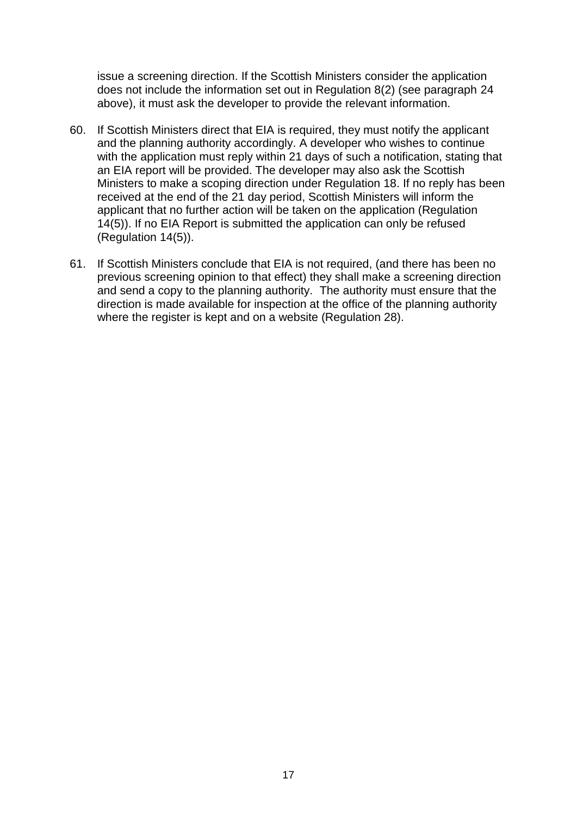issue a screening direction. If the Scottish Ministers consider the application does not include the information set out in Regulation 8(2) (see paragraph 24 above), it must ask the developer to provide the relevant information.

- 60. If Scottish Ministers direct that EIA is required, they must notify the applicant and the planning authority accordingly. A developer who wishes to continue with the application must reply within 21 days of such a notification, stating that an EIA report will be provided. The developer may also ask the Scottish Ministers to make a scoping direction under Regulation 18. If no reply has been received at the end of the 21 day period, Scottish Ministers will inform the applicant that no further action will be taken on the application (Regulation 14(5)). If no EIA Report is submitted the application can only be refused (Regulation 14(5)).
- <span id="page-22-0"></span>61. If Scottish Ministers conclude that EIA is not required, (and there has been no previous screening opinion to that effect) they shall make a screening direction and send a copy to the planning authority. The authority must ensure that the direction is made available for inspection at the office of the planning authority where the register is kept and on a website (Regulation 28).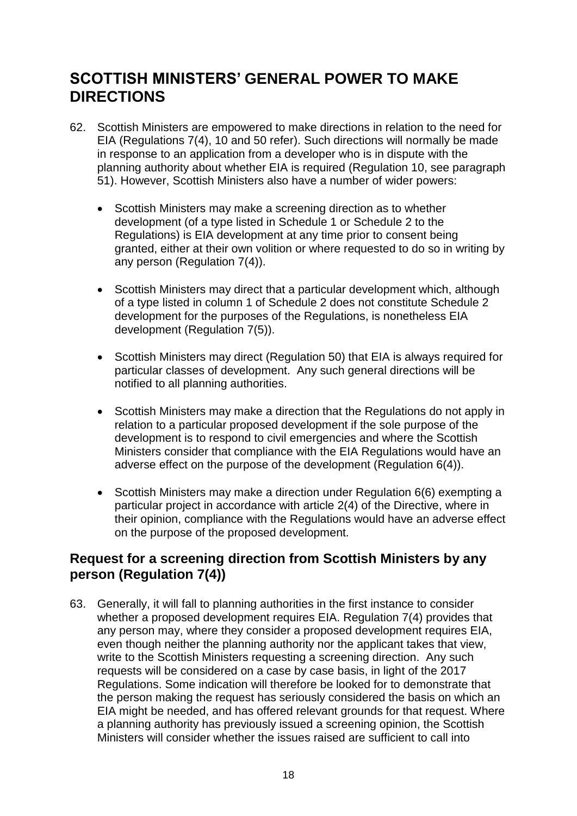# **SCOTTISH MINISTERS' GENERAL POWER TO MAKE DIRECTIONS**

- 62. Scottish Ministers are empowered to make directions in relation to the need for EIA (Regulations 7(4), 10 and 50 refer). Such directions will normally be made in response to an application from a developer who is in dispute with the planning authority about whether EIA is required (Regulation 10, see paragraph 51). However, Scottish Ministers also have a number of wider powers:
	- Scottish Ministers may make a screening direction as to whether development (of a type listed in Schedule 1 or Schedule 2 to the Regulations) is EIA development at any time prior to consent being granted, either at their own volition or where requested to do so in writing by any person (Regulation 7(4)).
	- Scottish Ministers may direct that a particular development which, although of a type listed in column 1 of Schedule 2 does not constitute Schedule 2 development for the purposes of the Regulations, is nonetheless EIA development (Regulation 7(5)).
	- Scottish Ministers may direct (Regulation 50) that EIA is always required for particular classes of development. Any such general directions will be notified to all planning authorities.
	- Scottish Ministers may make a direction that the Regulations do not apply in relation to a particular proposed development if the sole purpose of the development is to respond to civil emergencies and where the Scottish Ministers consider that compliance with the EIA Regulations would have an adverse effect on the purpose of the development (Regulation 6(4)).
	- Scottish Ministers may make a direction under Regulation 6(6) exempting a particular project in accordance with article 2(4) of the Directive, where in their opinion, compliance with the Regulations would have an adverse effect on the purpose of the proposed development.

## <span id="page-23-0"></span>**Request for a screening direction from Scottish Ministers by any person (Regulation 7(4))**

63. Generally, it will fall to planning authorities in the first instance to consider whether a proposed development requires EIA. Regulation 7(4) provides that any person may, where they consider a proposed development requires EIA, even though neither the planning authority nor the applicant takes that view, write to the Scottish Ministers requesting a screening direction. Any such requests will be considered on a case by case basis, in light of the 2017 Regulations. Some indication will therefore be looked for to demonstrate that the person making the request has seriously considered the basis on which an EIA might be needed, and has offered relevant grounds for that request. Where a planning authority has previously issued a screening opinion, the Scottish Ministers will consider whether the issues raised are sufficient to call into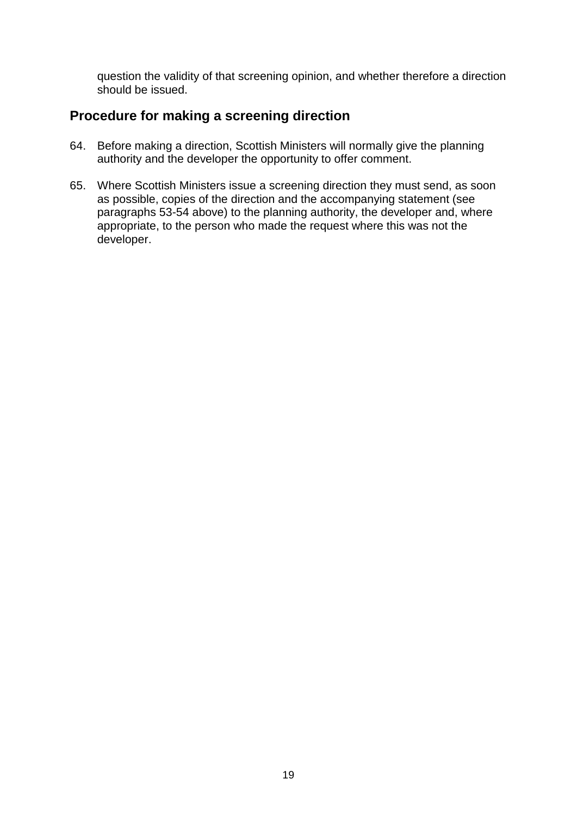question the validity of that screening opinion, and whether therefore a direction should be issued.

#### <span id="page-24-0"></span>**Procedure for making a screening direction**

- 64. Before making a direction, Scottish Ministers will normally give the planning authority and the developer the opportunity to offer comment.
- <span id="page-24-1"></span>65. Where Scottish Ministers issue a screening direction they must send, as soon as possible, copies of the direction and the accompanying statement (see paragraphs 53-54 above) to the planning authority, the developer and, where appropriate, to the person who made the request where this was not the developer.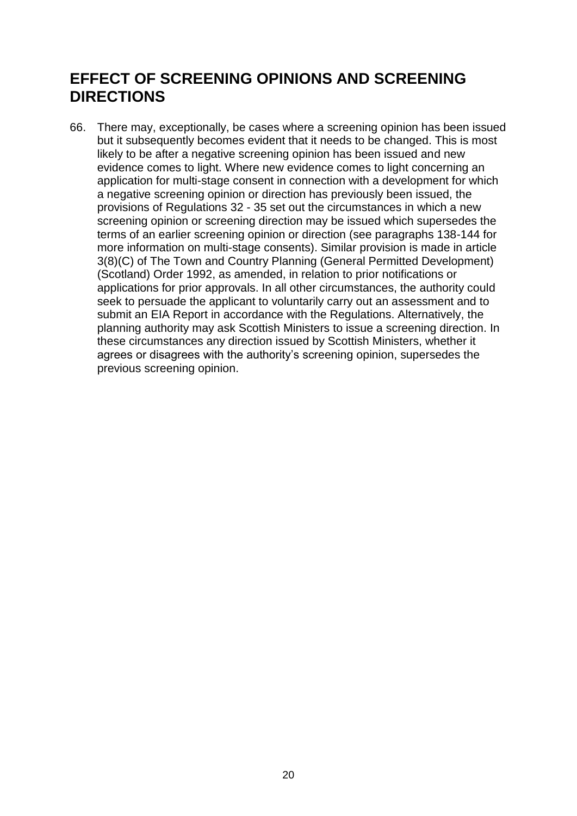# **EFFECT OF SCREENING OPINIONS AND SCREENING DIRECTIONS**

<span id="page-25-0"></span>66. There may, exceptionally, be cases where a screening opinion has been issued but it subsequently becomes evident that it needs to be changed. This is most likely to be after a negative screening opinion has been issued and new evidence comes to light. Where new evidence comes to light concerning an application for multi-stage consent in connection with a development for which a negative screening opinion or direction has previously been issued, the provisions of Regulations 32 - 35 set out the circumstances in which a new screening opinion or screening direction may be issued which supersedes the terms of an earlier screening opinion or direction (see paragraphs 138-144 for more information on multi-stage consents). Similar provision is made in article 3(8)(C) of The Town and Country Planning (General Permitted Development) (Scotland) Order 1992, as amended, in relation to prior notifications or applications for prior approvals. In all other circumstances, the authority could seek to persuade the applicant to voluntarily carry out an assessment and to submit an EIA Report in accordance with the Regulations. Alternatively, the planning authority may ask Scottish Ministers to issue a screening direction. In these circumstances any direction issued by Scottish Ministers, whether it agrees or disagrees with the authority's screening opinion, supersedes the previous screening opinion.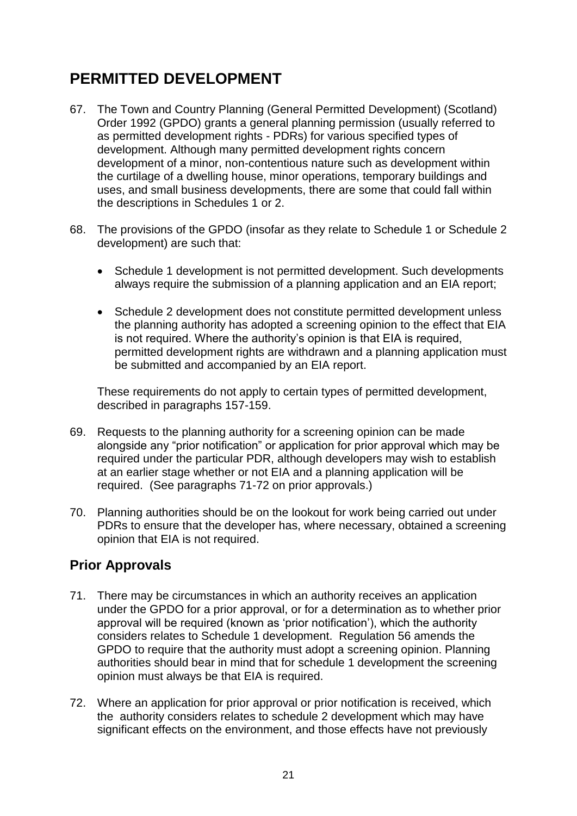# **PERMITTED DEVELOPMENT**

- 67. The Town and Country Planning (General Permitted Development) (Scotland) Order 1992 (GPDO) grants a general planning permission (usually referred to as permitted development rights - PDRs) for various specified types of development. Although many permitted development rights concern development of a minor, non-contentious nature such as development within the curtilage of a dwelling house, minor operations, temporary buildings and uses, and small business developments, there are some that could fall within the descriptions in Schedules 1 or 2.
- 68. The provisions of the GPDO (insofar as they relate to Schedule 1 or Schedule 2 development) are such that:
	- Schedule 1 development is not permitted development. Such developments always require the submission of a planning application and an EIA report;
	- Schedule 2 development does not constitute permitted development unless the planning authority has adopted a screening opinion to the effect that EIA is not required. Where the authority's opinion is that EIA is required, permitted development rights are withdrawn and a planning application must be submitted and accompanied by an EIA report.

These requirements do not apply to certain types of permitted development, described in paragraphs 157-159.

- 69. Requests to the planning authority for a screening opinion can be made alongside any "prior notification" or application for prior approval which may be required under the particular PDR, although developers may wish to establish at an earlier stage whether or not EIA and a planning application will be required. (See paragraphs 71-72 on prior approvals.)
- 70. Planning authorities should be on the lookout for work being carried out under PDRs to ensure that the developer has, where necessary, obtained a screening opinion that EIA is not required.

# <span id="page-26-0"></span>**Prior Approvals**

- 71. There may be circumstances in which an authority receives an application under the GPDO for a prior approval, or for a determination as to whether prior approval will be required (known as 'prior notification'), which the authority considers relates to Schedule 1 development. Regulation 56 amends the GPDO to require that the authority must adopt a screening opinion. Planning authorities should bear in mind that for schedule 1 development the screening opinion must always be that EIA is required.
- 72. Where an application for prior approval or prior notification is received, which the authority considers relates to schedule 2 development which may have significant effects on the environment, and those effects have not previously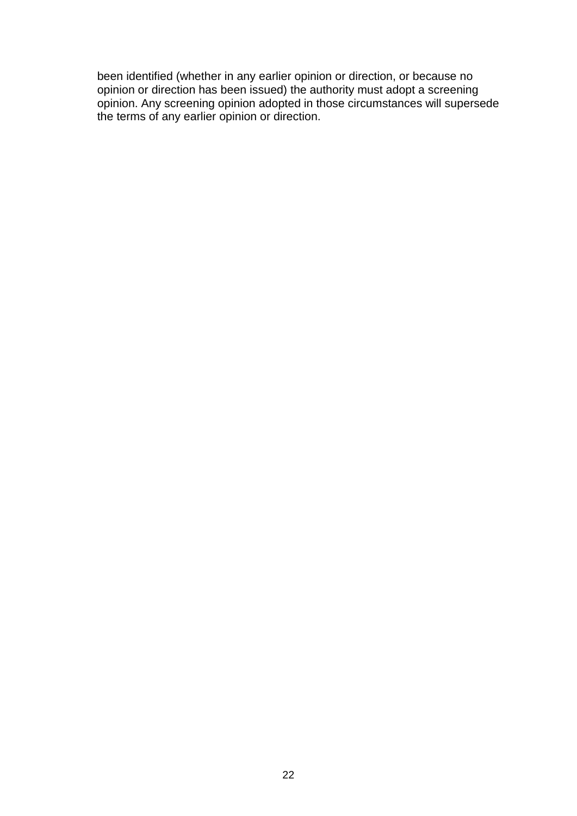<span id="page-27-0"></span>been identified (whether in any earlier opinion or direction, or because no opinion or direction has been issued) the authority must adopt a screening opinion. Any screening opinion adopted in those circumstances will supersede the terms of any earlier opinion or direction.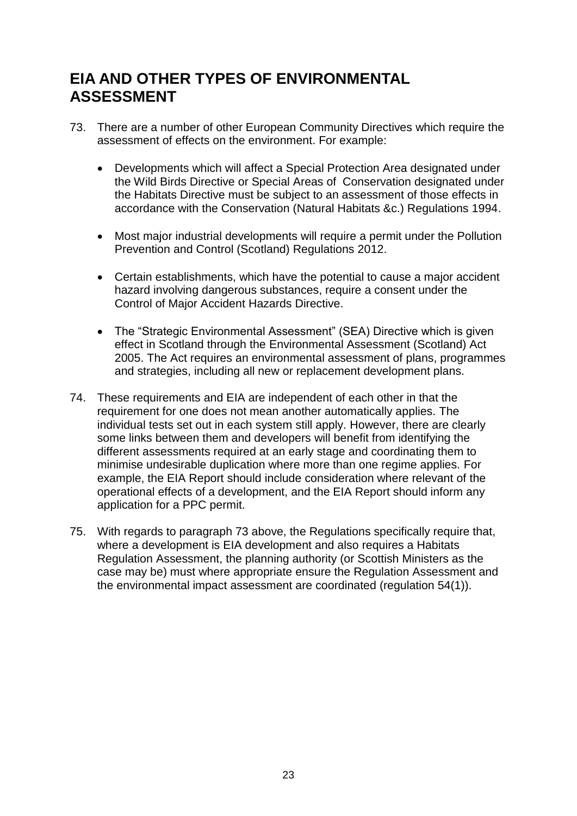# **EIA AND OTHER TYPES OF ENVIRONMENTAL ASSESSMENT**

- 73. There are a number of other European Community Directives which require the assessment of effects on the environment. For example:
	- Developments which will affect a Special Protection Area designated under the Wild Birds Directive or Special Areas of Conservation designated under the Habitats Directive must be subject to an assessment of those effects in accordance with the Conservation (Natural Habitats &c.) Regulations 1994.
	- Most major industrial developments will require a permit under the Pollution Prevention and Control (Scotland) Regulations 2012.
	- Certain establishments, which have the potential to cause a major accident hazard involving dangerous substances, require a consent under the Control of Major Accident Hazards Directive.
	- The "Strategic Environmental Assessment" (SEA) Directive which is given effect in Scotland through the [Environmental Assessment \(Scotland\) Act](http://www.legislation.gov.uk/asp/2005/15/contents)  [2005.](http://www.legislation.gov.uk/asp/2005/15/contents) The Act requires an environmental assessment of plans, programmes and strategies, including all new or replacement development plans.
- 74. These requirements and EIA are independent of each other in that the requirement for one does not mean another automatically applies. The individual tests set out in each system still apply. However, there are clearly some links between them and developers will benefit from identifying the different assessments required at an early stage and coordinating them to minimise undesirable duplication where more than one regime applies. For example, the EIA Report should include consideration where relevant of the operational effects of a development, and the EIA Report should inform any application for a PPC permit.
- <span id="page-28-0"></span>75. With regards to paragraph 73 above, the Regulations specifically require that, where a development is EIA development and also requires a Habitats Regulation Assessment, the planning authority (or Scottish Ministers as the case may be) must where appropriate ensure the Regulation Assessment and the environmental impact assessment are coordinated (regulation 54(1)).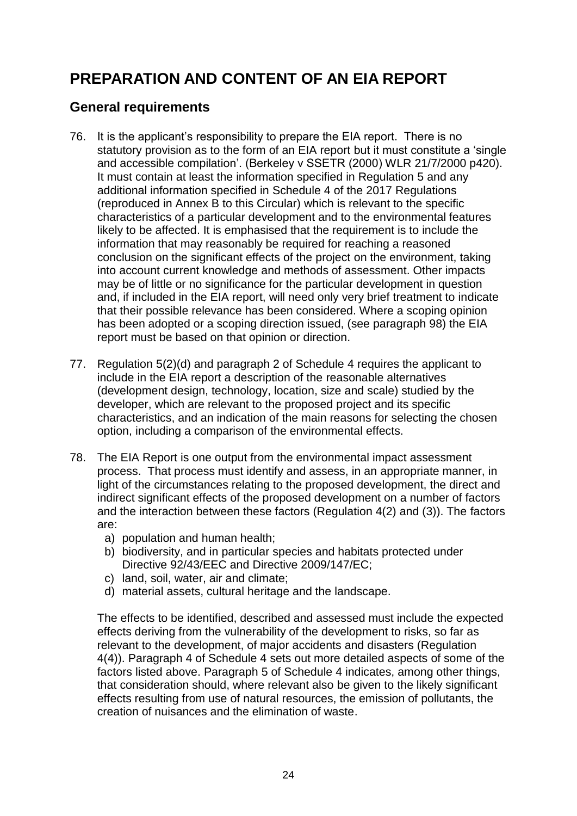# **PREPARATION AND CONTENT OF AN EIA REPORT**

#### <span id="page-29-0"></span>**General requirements**

- 76. It is the applicant's responsibility to prepare the EIA report. There is no statutory provision as to the form of an EIA report but it must constitute a 'single and accessible compilation'. (Berkeley v SSETR (2000) WLR 21/7/2000 p420). It must contain at least the information specified in Regulation 5 and any additional information specified in Schedule 4 of the 2017 Regulations (reproduced in Annex B to this Circular) which is relevant to the specific characteristics of a particular development and to the environmental features likely to be affected. It is emphasised that the requirement is to include the information that may reasonably be required for reaching a reasoned conclusion on the significant effects of the project on the environment, taking into account current knowledge and methods of assessment. Other impacts may be of little or no significance for the particular development in question and, if included in the EIA report, will need only very brief treatment to indicate that their possible relevance has been considered. Where a scoping opinion has been adopted or a scoping direction issued, (see paragraph 98) the EIA report must be based on that opinion or direction.
- 77. Regulation 5(2)(d) and paragraph 2 of Schedule 4 requires the applicant to include in the EIA report a description of the reasonable alternatives (development design, technology, location, size and scale) studied by the developer, which are relevant to the proposed project and its specific characteristics, and an indication of the main reasons for selecting the chosen option, including a comparison of the environmental effects.
- 78. The EIA Report is one output from the environmental impact assessment process. That process must identify and assess, in an appropriate manner, in light of the circumstances relating to the proposed development, the direct and indirect significant effects of the proposed development on a number of factors and the interaction between these factors (Regulation 4(2) and (3)). The factors are:
	- a) population and human health;
	- b) biodiversity, and in particular species and habitats protected under Directive 92/43/EEC and Directive 2009/147/EC;
	- c) land, soil, water, air and climate;
	- d) material assets, cultural heritage and the landscape.

The effects to be identified, described and assessed must include the expected effects deriving from the vulnerability of the development to risks, so far as relevant to the development, of major accidents and disasters (Regulation 4(4)). Paragraph 4 of Schedule 4 sets out more detailed aspects of some of the factors listed above. Paragraph 5 of Schedule 4 indicates, among other things, that consideration should, where relevant also be given to the likely significant effects resulting from use of natural resources, the emission of pollutants, the creation of nuisances and the elimination of waste.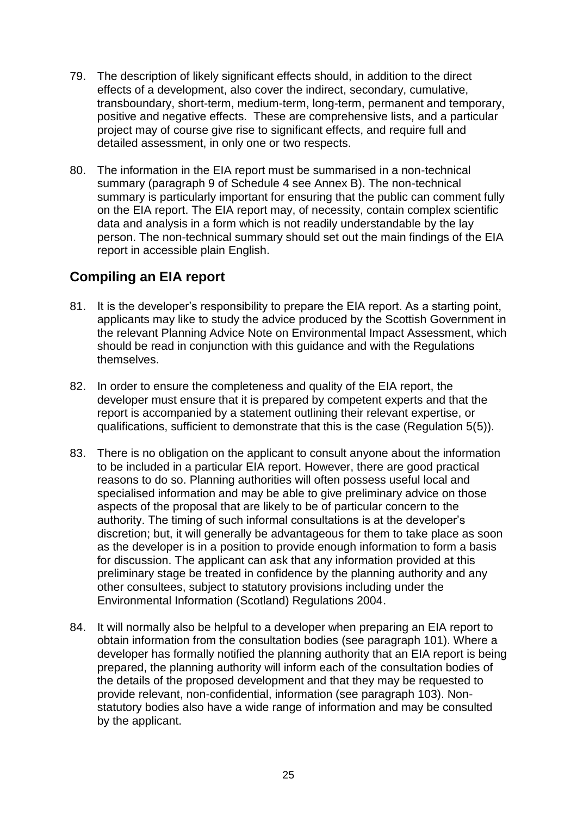- 79. The description of likely significant effects should, in addition to the direct effects of a development, also cover the indirect, secondary, cumulative, transboundary, short-term, medium-term, long-term, permanent and temporary, positive and negative effects. These are comprehensive lists, and a particular project may of course give rise to significant effects, and require full and detailed assessment, in only one or two respects.
- 80. The information in the EIA report must be summarised in a non-technical summary (paragraph 9 of Schedule 4 see Annex B). The non-technical summary is particularly important for ensuring that the public can comment fully on the EIA report. The EIA report may, of necessity, contain complex scientific data and analysis in a form which is not readily understandable by the lay person. The non-technical summary should set out the main findings of the EIA report in accessible plain English.

## <span id="page-30-0"></span>**Compiling an EIA report**

- 81. It is the developer's responsibility to prepare the EIA report. As a starting point, applicants may like to study the advice produced by the Scottish Government in the relevant Planning Advice Note on Environmental Impact Assessment, which should be read in conjunction with this guidance and with the Regulations themselves.
- 82. In order to ensure the completeness and quality of the EIA report, the developer must ensure that it is prepared by competent experts and that the report is accompanied by a statement outlining their relevant expertise, or qualifications, sufficient to demonstrate that this is the case (Regulation 5(5)).
- 83. There is no obligation on the applicant to consult anyone about the information to be included in a particular EIA report. However, there are good practical reasons to do so. Planning authorities will often possess useful local and specialised information and may be able to give preliminary advice on those aspects of the proposal that are likely to be of particular concern to the authority. The timing of such informal consultations is at the developer's discretion; but, it will generally be advantageous for them to take place as soon as the developer is in a position to provide enough information to form a basis for discussion. The applicant can ask that any information provided at this preliminary stage be treated in confidence by the planning authority and any other consultees, subject to statutory provisions including under the Environmental Information (Scotland) Regulations 2004.
- 84. It will normally also be helpful to a developer when preparing an EIA report to obtain information from the consultation bodies (see paragraph 101). Where a developer has formally notified the planning authority that an EIA report is being prepared, the planning authority will inform each of the consultation bodies of the details of the proposed development and that they may be requested to provide relevant, non-confidential, information (see paragraph 103). Nonstatutory bodies also have a wide range of information and may be consulted by the applicant.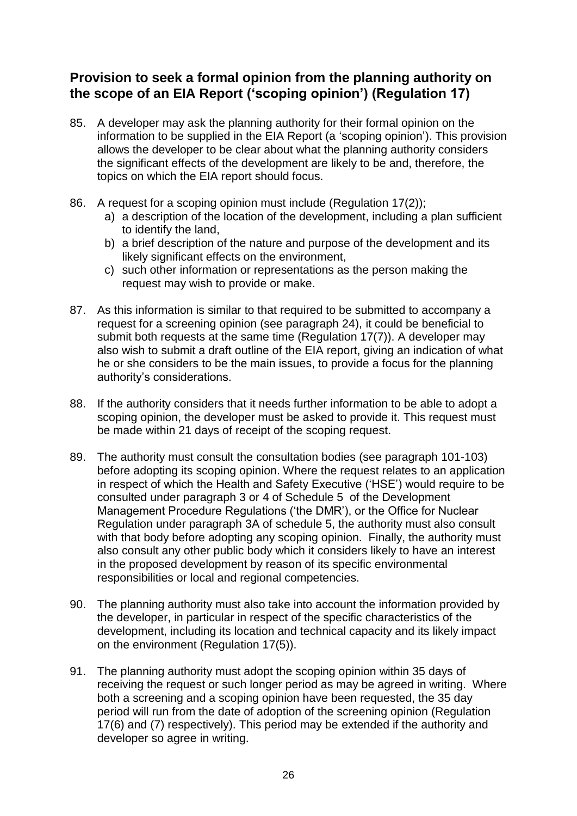#### <span id="page-31-0"></span>**Provision to seek a formal opinion from the planning authority on the scope of an EIA Report ('scoping opinion') (Regulation 17)**

- 85. A developer may ask the planning authority for their formal opinion on the information to be supplied in the EIA Report (a 'scoping opinion'). This provision allows the developer to be clear about what the planning authority considers the significant effects of the development are likely to be and, therefore, the topics on which the EIA report should focus.
- 86. A request for a scoping opinion must include (Regulation 17(2));
	- a) a description of the location of the development, including a plan sufficient to identify the land,
	- b) a brief description of the nature and purpose of the development and its likely significant effects on the environment,
	- c) such other information or representations as the person making the request may wish to provide or make.
- 87. As this information is similar to that required to be submitted to accompany a request for a screening opinion (see paragraph 24), it could be beneficial to submit both requests at the same time (Regulation 17(7)). A developer may also wish to submit a draft outline of the EIA report, giving an indication of what he or she considers to be the main issues, to provide a focus for the planning authority's considerations.
- 88. If the authority considers that it needs further information to be able to adopt a scoping opinion, the developer must be asked to provide it. This request must be made within 21 days of receipt of the scoping request.
- 89. The authority must consult the consultation bodies (see paragraph 101-103) before adopting its scoping opinion. Where the request relates to an application in respect of which the Health and Safety Executive ('HSE') would require to be consulted under paragraph 3 or 4 of Schedule 5 of the Development Management Procedure Regulations ('the DMR'), or the Office for Nuclear Regulation under paragraph 3A of schedule 5, the authority must also consult with that body before adopting any scoping opinion. Finally, the authority must also consult any other public body which it considers likely to have an interest in the proposed development by reason of its specific environmental responsibilities or local and regional competencies.
- 90. The planning authority must also take into account the information provided by the developer, in particular in respect of the specific characteristics of the development, including its location and technical capacity and its likely impact on the environment (Regulation 17(5)).
- 91. The planning authority must adopt the scoping opinion within 35 days of receiving the request or such longer period as may be agreed in writing. Where both a screening and a scoping opinion have been requested, the 35 day period will run from the date of adoption of the screening opinion (Regulation 17(6) and (7) respectively). This period may be extended if the authority and developer so agree in writing.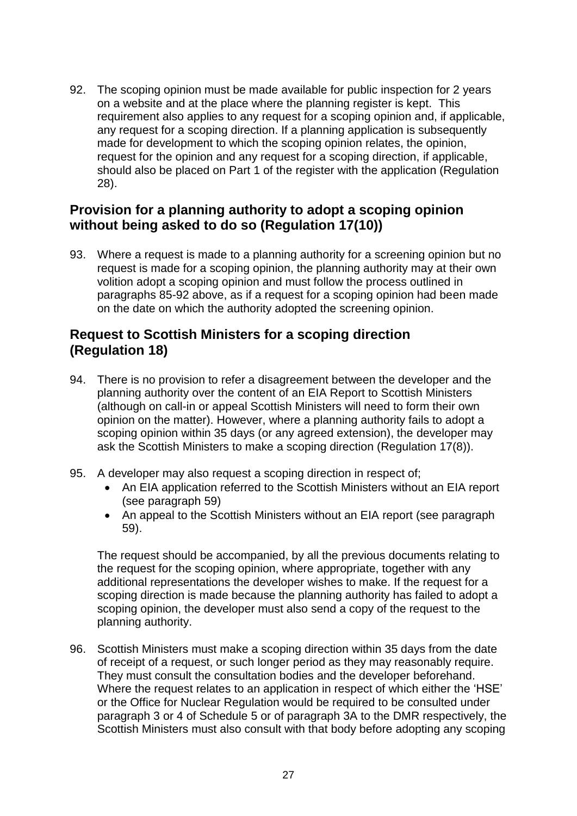92. The scoping opinion must be made available for public inspection for 2 years on a website and at the place where the planning register is kept. This requirement also applies to any request for a scoping opinion and, if applicable, any request for a scoping direction. If a planning application is subsequently made for development to which the scoping opinion relates, the opinion, request for the opinion and any request for a scoping direction, if applicable, should also be placed on Part 1 of the register with the application (Regulation 28).

#### <span id="page-32-0"></span>**Provision for a planning authority to adopt a scoping opinion without being asked to do so (Regulation 17(10))**

93. Where a request is made to a planning authority for a screening opinion but no request is made for a scoping opinion, the planning authority may at their own volition adopt a scoping opinion and must follow the process outlined in paragraphs 85-92 above, as if a request for a scoping opinion had been made on the date on which the authority adopted the screening opinion.

#### <span id="page-32-1"></span>**Request to Scottish Ministers for a scoping direction (Regulation 18)**

- 94. There is no provision to refer a disagreement between the developer and the planning authority over the content of an EIA Report to Scottish Ministers (although on call-in or appeal Scottish Ministers will need to form their own opinion on the matter). However, where a planning authority fails to adopt a scoping opinion within 35 days (or any agreed extension), the developer may ask the Scottish Ministers to make a scoping direction (Regulation 17(8)).
- 95. A developer may also request a scoping direction in respect of;
	- An EIA application referred to the Scottish Ministers without an EIA report (see paragraph 59)
	- An appeal to the Scottish Ministers without an EIA report (see paragraph) 59).

The request should be accompanied, by all the previous documents relating to the request for the scoping opinion, where appropriate, together with any additional representations the developer wishes to make. If the request for a scoping direction is made because the planning authority has failed to adopt a scoping opinion, the developer must also send a copy of the request to the planning authority.

96. Scottish Ministers must make a scoping direction within 35 days from the date of receipt of a request, or such longer period as they may reasonably require. They must consult the consultation bodies and the developer beforehand. Where the request relates to an application in respect of which either the 'HSE' or the Office for Nuclear Regulation would be required to be consulted under paragraph 3 or 4 of Schedule 5 or of paragraph 3A to the DMR respectively, the Scottish Ministers must also consult with that body before adopting any scoping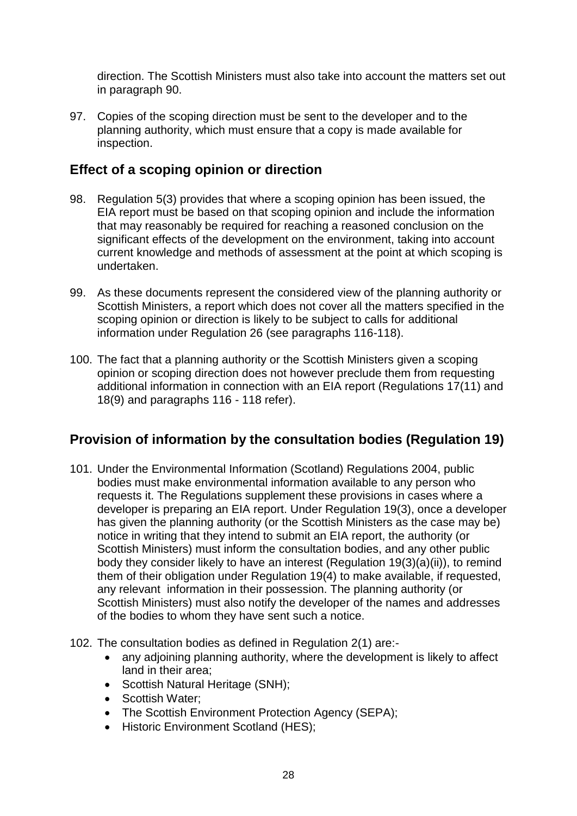direction. The Scottish Ministers must also take into account the matters set out in paragraph 90.

97. Copies of the scoping direction must be sent to the developer and to the planning authority, which must ensure that a copy is made available for inspection.

#### <span id="page-33-0"></span>**Effect of a scoping opinion or direction**

- 98. Regulation 5(3) provides that where a scoping opinion has been issued, the EIA report must be based on that scoping opinion and include the information that may reasonably be required for reaching a reasoned conclusion on the significant effects of the development on the environment, taking into account current knowledge and methods of assessment at the point at which scoping is undertaken.
- 99. As these documents represent the considered view of the planning authority or Scottish Ministers, a report which does not cover all the matters specified in the scoping opinion or direction is likely to be subject to calls for additional information under Regulation 26 (see paragraphs 116-118).
- 100. The fact that a planning authority or the Scottish Ministers given a scoping opinion or scoping direction does not however preclude them from requesting additional information in connection with an EIA report (Regulations 17(11) and 18(9) and paragraphs 116 - 118 refer).

## <span id="page-33-1"></span>**Provision of information by the consultation bodies (Regulation 19)**

- 101. Under the [Environmental Information \(Scotland\) Regulations 2004,](http://www.legislation.gov.uk/ssi/2004/520/contents/made) public bodies must make environmental information available to any person who requests it. The Regulations supplement these provisions in cases where a developer is preparing an EIA report. Under Regulation 19(3), once a developer has given the planning authority (or the Scottish Ministers as the case may be) notice in writing that they intend to submit an EIA report, the authority (or Scottish Ministers) must inform the consultation bodies, and any other public body they consider likely to have an interest (Regulation 19(3)(a)(ii)), to remind them of their obligation under Regulation 19(4) to make available, if requested, any relevant information in their possession. The planning authority (or Scottish Ministers) must also notify the developer of the names and addresses of the bodies to whom they have sent such a notice.
- 102. The consultation bodies as defined in Regulation 2(1) are:-
	- any adjoining planning authority, where the development is likely to affect land in their area;
	- Scottish Natural Heritage (SNH);
	- Scottish Water:
	- The Scottish Environment Protection Agency (SEPA);
	- Historic Environment Scotland (HES);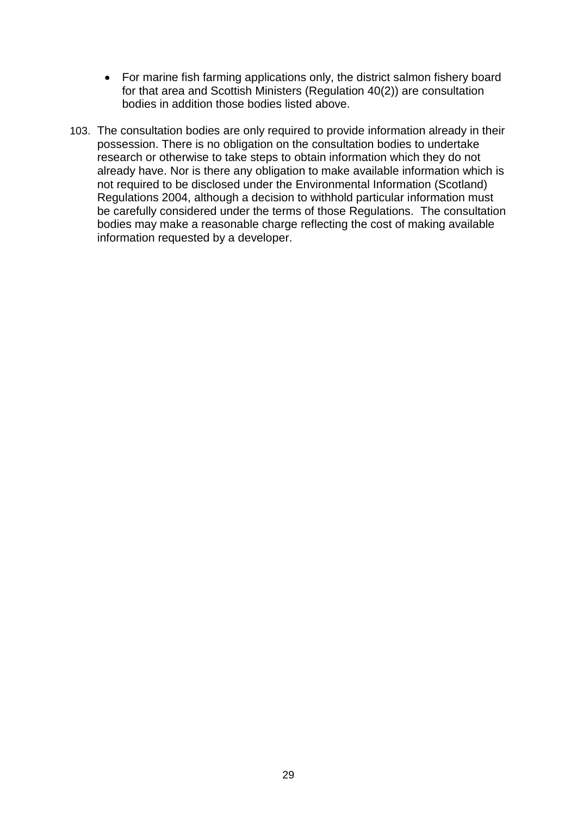- For marine fish farming applications only, the district salmon fishery board for that area and Scottish Ministers (Regulation 40(2)) are consultation bodies in addition those bodies listed above.
- 103. The consultation bodies are only required to provide information already in their possession. There is no obligation on the consultation bodies to undertake research or otherwise to take steps to obtain information which they do not already have. Nor is there any obligation to make available information which is not required to be disclosed under the Environmental Information (Scotland) Regulations 2004, although a decision to withhold particular information must be carefully considered under the terms of those Regulations. The consultation bodies may make a reasonable charge reflecting the cost of making available information requested by a developer.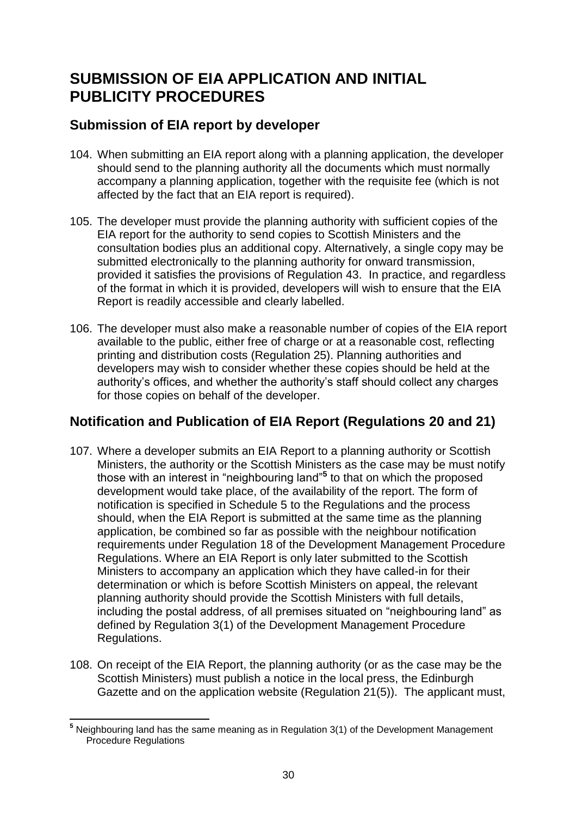# <span id="page-35-0"></span>**SUBMISSION OF EIA APPLICATION AND INITIAL PUBLICITY PROCEDURES**

## <span id="page-35-1"></span>**Submission of EIA report by developer**

- 104. When submitting an EIA report along with a planning application, the developer should send to the planning authority all the documents which must normally accompany a planning application, together with the requisite fee (which is not affected by the fact that an EIA report is required).
- 105. The developer must provide the planning authority with sufficient copies of the EIA report for the authority to send copies to Scottish Ministers and the consultation bodies plus an additional copy. Alternatively, a single copy may be submitted electronically to the planning authority for onward transmission, provided it satisfies the provisions of Regulation 43. In practice, and regardless of the format in which it is provided, developers will wish to ensure that the EIA Report is readily accessible and clearly labelled.
- 106. The developer must also make a reasonable number of copies of the EIA report available to the public, either free of charge or at a reasonable cost, reflecting printing and distribution costs (Regulation 25). Planning authorities and developers may wish to consider whether these copies should be held at the authority's offices, and whether the authority's staff should collect any charges for those copies on behalf of the developer.

## <span id="page-35-2"></span>**Notification and Publication of EIA Report (Regulations 20 and 21)**

- 107. Where a developer submits an EIA Report to a planning authority or Scottish Ministers, the authority or the Scottish Ministers as the case may be must notify those with an interest in "neighbouring land"**<sup>5</sup>** to that on which the proposed development would take place, of the availability of the report. The form of notification is specified in Schedule 5 to the Regulations and the process should, when the EIA Report is submitted at the same time as the planning application, be combined so far as possible with the neighbour notification requirements under Regulation 18 of the Development Management Procedure Regulations. Where an EIA Report is only later submitted to the Scottish Ministers to accompany an application which they have called-in for their determination or which is before Scottish Ministers on appeal, the relevant planning authority should provide the Scottish Ministers with full details, including the postal address, of all premises situated on "neighbouring land" as defined by Regulation 3(1) of the Development Management Procedure Regulations.
- 108. On receipt of the EIA Report, the planning authority (or as the case may be the Scottish Ministers) must publish a notice in the local press, the Edinburgh Gazette and on the application website (Regulation 21(5)). The applicant must,

<sup>-</sup>**<sup>5</sup>** Neighbouring land has the same meaning as in Regulation 3(1) of the Development Management Procedure Regulations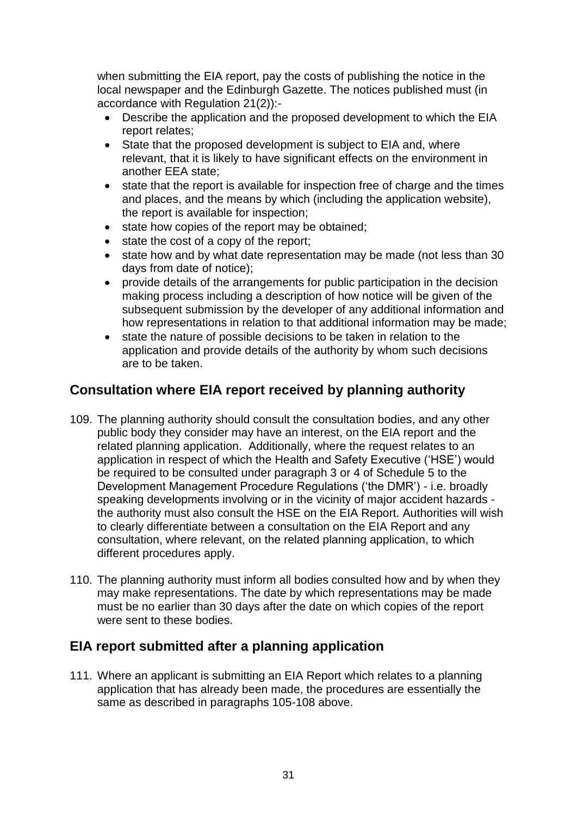when submitting the EIA report, pay the costs of publishing the notice in the local newspaper and the Edinburgh Gazette. The notices published must (in accordance with Regulation 21(2)):-

- Describe the application and the proposed development to which the EIA report relates;
- State that the proposed development is subject to EIA and, where relevant, that it is likely to have significant effects on the environment in another EEA state;
- state that the report is available for inspection free of charge and the times and places, and the means by which (including the application website), the report is available for inspection;
- state how copies of the report may be obtained;
- state the cost of a copy of the report;
- state how and by what date representation may be made (not less than 30 days from date of notice);
- provide details of the arrangements for public participation in the decision making process including a description of how notice will be given of the subsequent submission by the developer of any additional information and how representations in relation to that additional information may be made;
- state the nature of possible decisions to be taken in relation to the application and provide details of the authority by whom such decisions are to be taken.

#### <span id="page-36-0"></span>**Consultation where EIA report received by planning authority**

- 109. The planning authority should consult the consultation bodies, and any other public body they consider may have an interest, on the EIA report and the related planning application. Additionally, where the request relates to an application in respect of which the Health and Safety Executive ('HSE') would be required to be consulted under paragraph 3 or 4 of Schedule 5 to the Development Management Procedure Regulations ('the DMR') - i.e. broadly speaking developments involving or in the vicinity of major accident hazards the authority must also consult the HSE on the EIA Report. Authorities will wish to clearly differentiate between a consultation on the EIA Report and any consultation, where relevant, on the related planning application, to which different procedures apply.
- 110. The planning authority must inform all bodies consulted how and by when they may make representations. The date by which representations may be made must be no earlier than 30 days after the date on which copies of the report were sent to these bodies.

#### <span id="page-36-1"></span>**EIA report submitted after a planning application**

111. Where an applicant is submitting an EIA Report which relates to a planning application that has already been made, the procedures are essentially the same as described in paragraphs 105-108 above.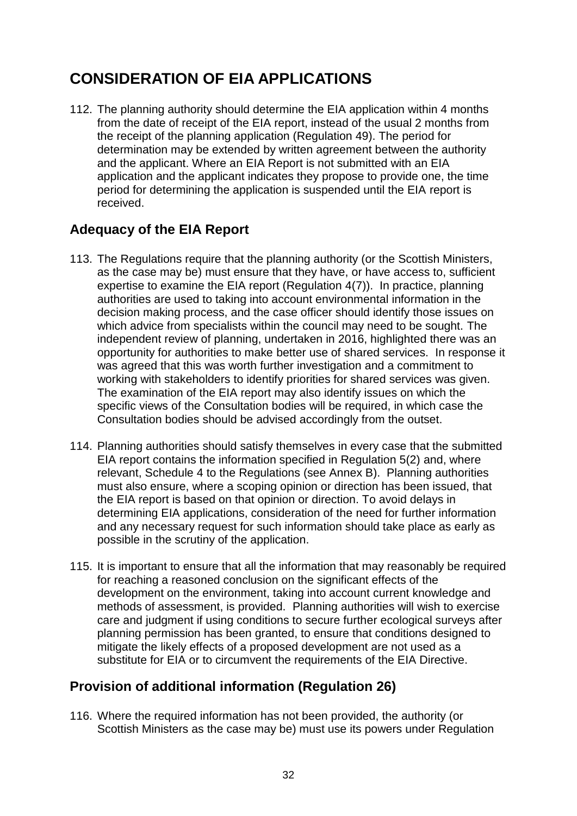# <span id="page-37-0"></span>**CONSIDERATION OF EIA APPLICATIONS**

112. The planning authority should determine the EIA application within 4 months from the date of receipt of the EIA report, instead of the usual 2 months from the receipt of the planning application (Regulation 49). The period for determination may be extended by written agreement between the authority and the applicant. Where an EIA Report is not submitted with an EIA application and the applicant indicates they propose to provide one, the time period for determining the application is suspended until the EIA report is received.

## <span id="page-37-1"></span>**Adequacy of the EIA Report**

- 113. The Regulations require that the planning authority (or the Scottish Ministers, as the case may be) must ensure that they have, or have access to, sufficient expertise to examine the EIA report (Regulation 4(7)). In practice, planning authorities are used to taking into account environmental information in the decision making process, and the case officer should identify those issues on which advice from specialists within the council may need to be sought. The independent review of planning, undertaken in 2016, highlighted there was an opportunity for authorities to make better use of shared services. In response it was agreed that this was worth further investigation and a commitment to working with stakeholders to identify priorities for shared services was given. The examination of the EIA report may also identify issues on which the specific views of the Consultation bodies will be required, in which case the Consultation bodies should be advised accordingly from the outset.
- 114. Planning authorities should satisfy themselves in every case that the submitted EIA report contains the information specified in Regulation 5(2) and, where relevant, Schedule 4 to the Regulations (see Annex B). Planning authorities must also ensure, where a scoping opinion or direction has been issued, that the EIA report is based on that opinion or direction. To avoid delays in determining EIA applications, consideration of the need for further information and any necessary request for such information should take place as early as possible in the scrutiny of the application.
- 115. It is important to ensure that all the information that may reasonably be required for reaching a reasoned conclusion on the significant effects of the development on the environment, taking into account current knowledge and methods of assessment, is provided. Planning authorities will wish to exercise care and judgment if using conditions to secure further ecological surveys after planning permission has been granted, to ensure that conditions designed to mitigate the likely effects of a proposed development are not used as a substitute for EIA or to circumvent the requirements of the EIA Directive.

## <span id="page-37-2"></span>**Provision of additional information (Regulation 26)**

116. Where the required information has not been provided, the authority (or Scottish Ministers as the case may be) must use its powers under Regulation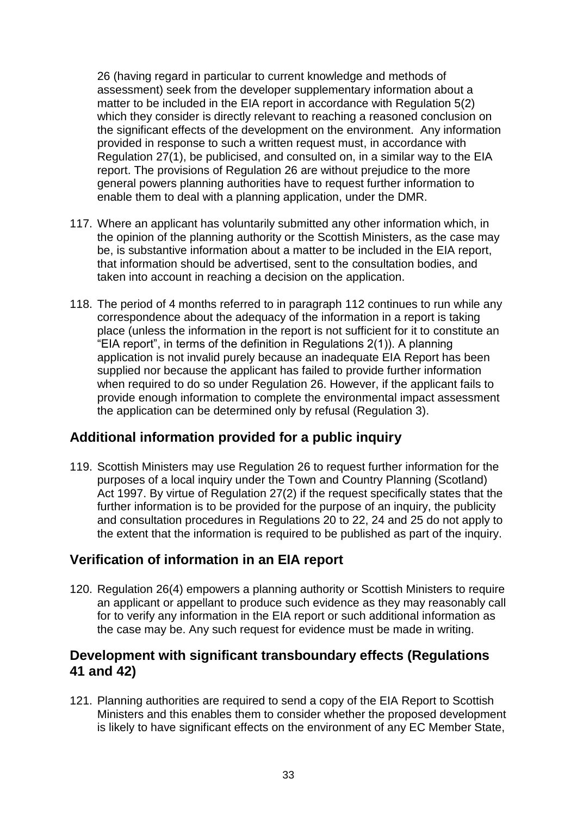26 (having regard in particular to current knowledge and methods of assessment) seek from the developer supplementary information about a matter to be included in the EIA report in accordance with Regulation 5(2) which they consider is directly relevant to reaching a reasoned conclusion on the significant effects of the development on the environment. Any information provided in response to such a written request must, in accordance with Regulation 27(1), be publicised, and consulted on, in a similar way to the EIA report. The provisions of Regulation 26 are without prejudice to the more general powers planning authorities have to request further information to enable them to deal with a planning application, under the DMR.

- 117. Where an applicant has voluntarily submitted any other information which, in the opinion of the planning authority or the Scottish Ministers, as the case may be, is substantive information about a matter to be included in the EIA report, that information should be advertised, sent to the consultation bodies, and taken into account in reaching a decision on the application.
- 118. The period of 4 months referred to in paragraph 112 continues to run while any correspondence about the adequacy of the information in a report is taking place (unless the information in the report is not sufficient for it to constitute an "EIA report", in terms of the definition in Regulations 2(1)). A planning application is not invalid purely because an inadequate EIA Report has been supplied nor because the applicant has failed to provide further information when required to do so under Regulation 26. However, if the applicant fails to provide enough information to complete the environmental impact assessment the application can be determined only by refusal (Regulation 3).

## <span id="page-38-0"></span>**Additional information provided for a public inquiry**

119. Scottish Ministers may use Regulation 26 to request further information for the purposes of a local inquiry under the Town and Country Planning (Scotland) Act 1997. By virtue of Regulation 27(2) if the request specifically states that the further information is to be provided for the purpose of an inquiry, the publicity and consultation procedures in Regulations 20 to 22, 24 and 25 do not apply to the extent that the information is required to be published as part of the inquiry.

## <span id="page-38-1"></span>**Verification of information in an EIA report**

120. Regulation 26(4) empowers a planning authority or Scottish Ministers to require an applicant or appellant to produce such evidence as they may reasonably call for to verify any information in the EIA report or such additional information as the case may be. Any such request for evidence must be made in writing.

#### <span id="page-38-2"></span>**Development with significant transboundary effects (Regulations 41 and 42)**

121. Planning authorities are required to send a copy of the EIA Report to Scottish Ministers and this enables them to consider whether the proposed development is likely to have significant effects on the environment of any EC Member State,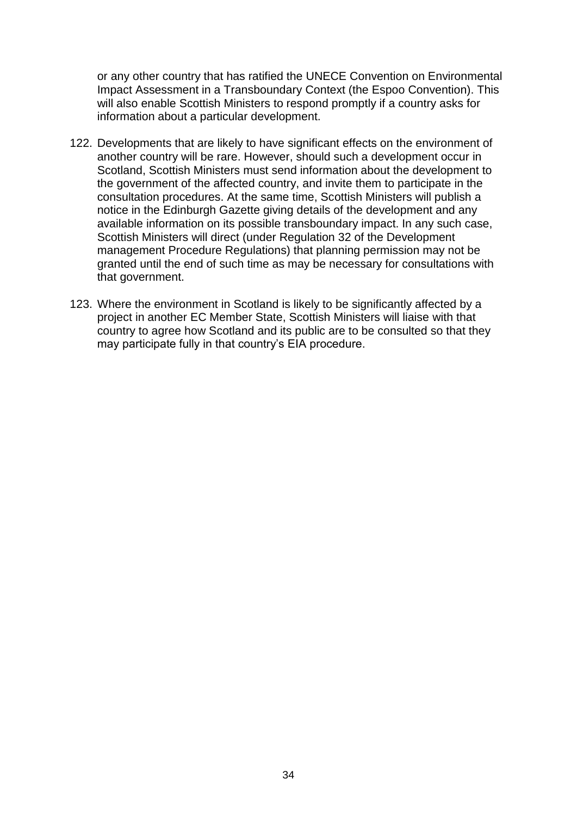or any other country that has ratified the UNECE Convention on Environmental Impact Assessment in a Transboundary Context (the Espoo Convention). This will also enable Scottish Ministers to respond promptly if a country asks for information about a particular development.

- 122. Developments that are likely to have significant effects on the environment of another country will be rare. However, should such a development occur in Scotland, Scottish Ministers must send information about the development to the government of the affected country, and invite them to participate in the consultation procedures. At the same time, Scottish Ministers will publish a notice in the Edinburgh Gazette giving details of the development and any available information on its possible transboundary impact. In any such case, Scottish Ministers will direct (under Regulation 32 of the Development management Procedure Regulations) that planning permission may not be granted until the end of such time as may be necessary for consultations with that government.
- 123. Where the environment in Scotland is likely to be significantly affected by a project in another EC Member State, Scottish Ministers will liaise with that country to agree how Scotland and its public are to be consulted so that they may participate fully in that country's EIA procedure.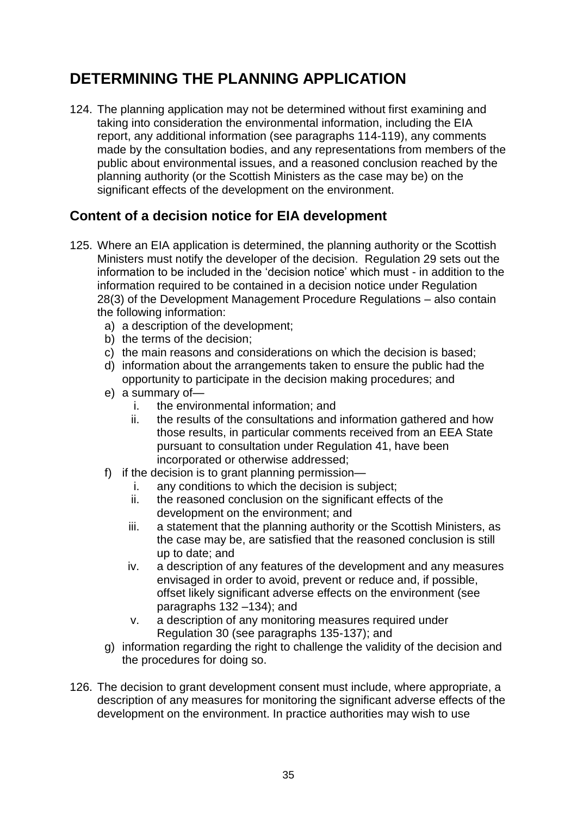# <span id="page-40-0"></span>**DETERMINING THE PLANNING APPLICATION**

124. The planning application may not be determined without first examining and taking into consideration the environmental information, including the EIA report, any additional information (see paragraphs 114-119), any comments made by the consultation bodies, and any representations from members of the public about environmental issues, and a reasoned conclusion reached by the planning authority (or the Scottish Ministers as the case may be) on the significant effects of the development on the environment.

## <span id="page-40-1"></span>**Content of a decision notice for EIA development**

- 125. Where an EIA application is determined, the planning authority or the Scottish Ministers must notify the developer of the decision. Regulation 29 sets out the information to be included in the 'decision notice' which must - in addition to the information required to be contained in a decision notice under Regulation 28(3) of the Development Management Procedure Regulations – also contain the following information:
	- a) a description of the development;
	- b) the terms of the decision;
	- c) the main reasons and considerations on which the decision is based;
	- d) information about the arrangements taken to ensure the public had the opportunity to participate in the decision making procedures; and
	- e) a summary of
		- i. the environmental information; and
		- ii. the results of the consultations and information gathered and how those results, in particular comments received from an EEA State pursuant to consultation under Regulation 41, have been incorporated or otherwise addressed;
	- f) if the decision is to grant planning permission
		- i. any conditions to which the decision is subject;
			- ii. the reasoned conclusion on the significant effects of the development on the environment; and
		- iii. a statement that the planning authority or the Scottish Ministers, as the case may be, are satisfied that the reasoned conclusion is still up to date; and
		- iv. a description of any features of the development and any measures envisaged in order to avoid, prevent or reduce and, if possible, offset likely significant adverse effects on the environment (see paragraphs 132 –134); and
		- v. a description of any monitoring measures required under Regulation 30 (see paragraphs 135-137); and
	- g) information regarding the right to challenge the validity of the decision and the procedures for doing so.
- 126. The decision to grant development consent must include, where appropriate, a description of any measures for monitoring the significant adverse effects of the development on the environment. In practice authorities may wish to use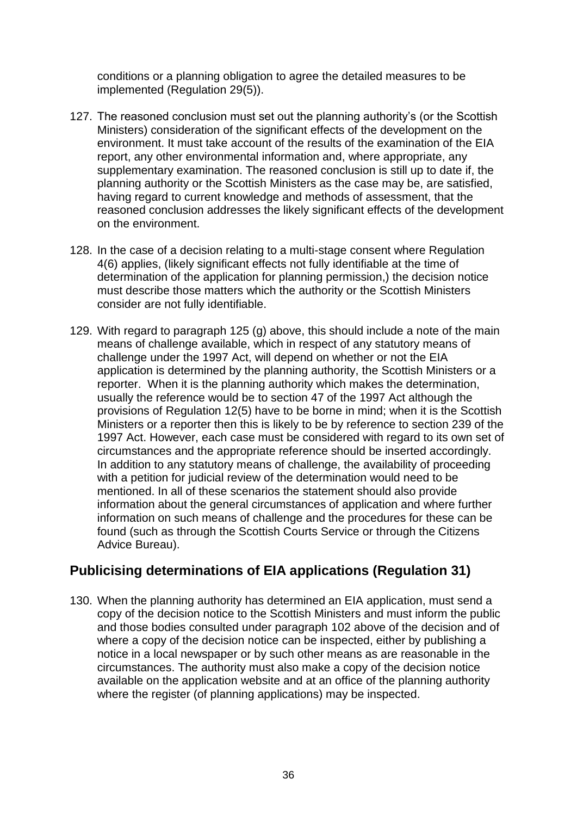conditions or a planning obligation to agree the detailed measures to be implemented (Regulation 29(5)).

- 127. The reasoned conclusion must set out the planning authority's (or the Scottish Ministers) consideration of the significant effects of the development on the environment. It must take account of the results of the examination of the EIA report, any other environmental information and, where appropriate, any supplementary examination. The reasoned conclusion is still up to date if, the planning authority or the Scottish Ministers as the case may be, are satisfied, having regard to current knowledge and methods of assessment, that the reasoned conclusion addresses the likely significant effects of the development on the environment.
- 128. In the case of a decision relating to a multi-stage consent where Regulation 4(6) applies, (likely significant effects not fully identifiable at the time of determination of the application for planning permission,) the decision notice must describe those matters which the authority or the Scottish Ministers consider are not fully identifiable.
- 129. With regard to paragraph 125 (g) above, this should include a note of the main means of challenge available, which in respect of any statutory means of challenge under the 1997 Act, will depend on whether or not the EIA application is determined by the planning authority, the Scottish Ministers or a reporter. When it is the planning authority which makes the determination, usually the reference would be to section 47 of the 1997 Act although the provisions of Regulation 12(5) have to be borne in mind; when it is the Scottish Ministers or a reporter then this is likely to be by reference to section 239 of the 1997 Act. However, each case must be considered with regard to its own set of circumstances and the appropriate reference should be inserted accordingly. In addition to any statutory means of challenge, the availability of proceeding with a petition for judicial review of the determination would need to be mentioned. In all of these scenarios the statement should also provide information about the general circumstances of application and where further information on such means of challenge and the procedures for these can be found (such as through the Scottish Courts Service or through the Citizens Advice Bureau).

## <span id="page-41-0"></span>**Publicising determinations of EIA applications (Regulation 31)**

130. When the planning authority has determined an EIA application, must send a copy of the decision notice to the Scottish Ministers and must inform the public and those bodies consulted under paragraph 102 above of the decision and of where a copy of the decision notice can be inspected, either by publishing a notice in a local newspaper or by such other means as are reasonable in the circumstances. The authority must also make a copy of the decision notice available on the application website and at an office of the planning authority where the register (of planning applications) may be inspected.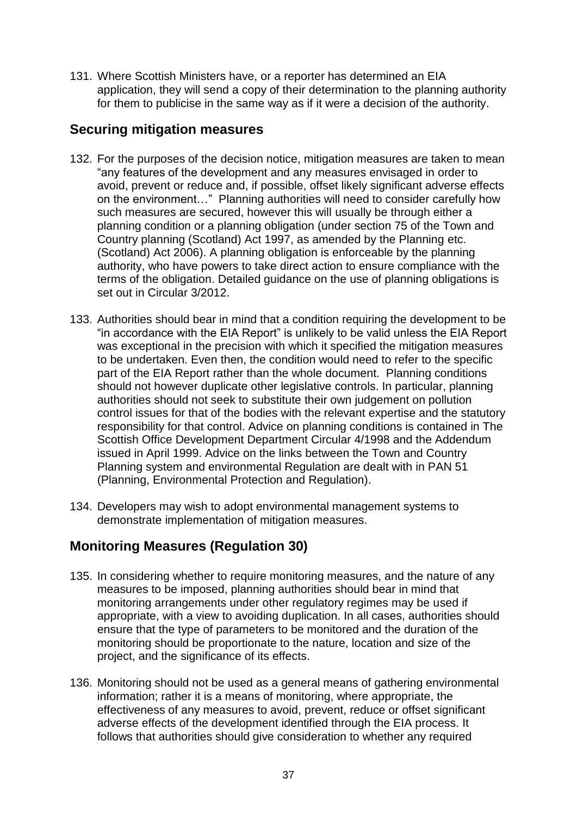131. Where Scottish Ministers have, or a reporter has determined an EIA application, they will send a copy of their determination to the planning authority for them to publicise in the same way as if it were a decision of the authority.

#### <span id="page-42-0"></span>**Securing mitigation measures**

- 132. For the purposes of the decision notice, mitigation measures are taken to mean "any features of the development and any measures envisaged in order to avoid, prevent or reduce and, if possible, offset likely significant adverse effects on the environment…" Planning authorities will need to consider carefully how such measures are secured, however this will usually be through either a planning condition or a planning obligation (under section 75 of the Town and Country planning (Scotland) Act 1997, as amended by the Planning etc. (Scotland) Act 2006). A planning obligation is enforceable by the planning authority, who have powers to take direct action to ensure compliance with the terms of the obligation. Detailed guidance on the use of planning obligations is set out in Circular 3/2012.
- 133. Authorities should bear in mind that a condition requiring the development to be "in accordance with the EIA Report" is unlikely to be valid unless the EIA Report was exceptional in the precision with which it specified the mitigation measures to be undertaken. Even then, the condition would need to refer to the specific part of the EIA Report rather than the whole document. Planning conditions should not however duplicate other legislative controls. In particular, planning authorities should not seek to substitute their own judgement on pollution control issues for that of the bodies with the relevant expertise and the statutory responsibility for that control. Advice on planning conditions is contained in The Scottish Office Development Department Circular 4/1998 and the Addendum issued in April 1999. Advice on the links between the Town and Country Planning system and environmental Regulation are dealt with in PAN 51 (Planning, Environmental Protection and Regulation).
- 134. Developers may wish to adopt environmental management systems to demonstrate implementation of mitigation measures.

## <span id="page-42-1"></span>**Monitoring Measures (Regulation 30)**

- 135. In considering whether to require monitoring measures, and the nature of any measures to be imposed, planning authorities should bear in mind that monitoring arrangements under other regulatory regimes may be used if appropriate, with a view to avoiding duplication. In all cases, authorities should ensure that the type of parameters to be monitored and the duration of the monitoring should be proportionate to the nature, location and size of the project, and the significance of its effects.
- 136. Monitoring should not be used as a general means of gathering environmental information; rather it is a means of monitoring, where appropriate, the effectiveness of any measures to avoid, prevent, reduce or offset significant adverse effects of the development identified through the EIA process. It follows that authorities should give consideration to whether any required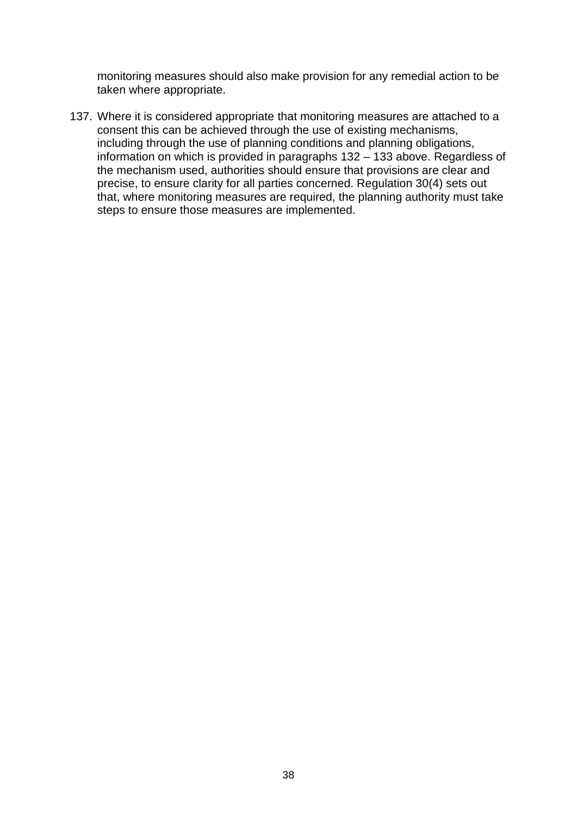monitoring measures should also make provision for any remedial action to be taken where appropriate.

137. Where it is considered appropriate that monitoring measures are attached to a consent this can be achieved through the use of existing mechanisms, including through the use of planning conditions and planning obligations, information on which is provided in paragraphs 132 – 133 above. Regardless of the mechanism used, authorities should ensure that provisions are clear and precise, to ensure clarity for all parties concerned. Regulation 30(4) sets out that, where monitoring measures are required, the planning authority must take steps to ensure those measures are implemented.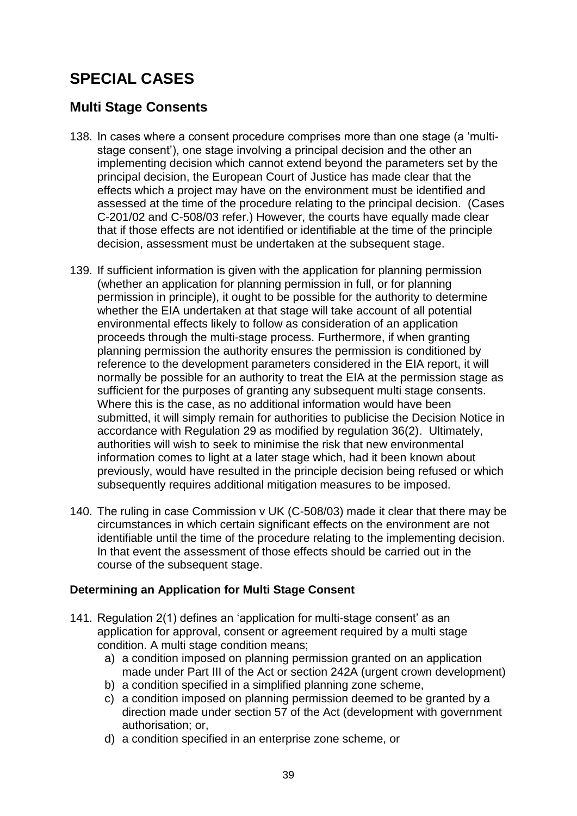# <span id="page-44-0"></span>**SPECIAL CASES**

## <span id="page-44-1"></span>**Multi Stage Consents**

- 138. In cases where a consent procedure comprises more than one stage (a 'multistage consent'), one stage involving a principal decision and the other an implementing decision which cannot extend beyond the parameters set by the principal decision, the European Court of Justice has made clear that the effects which a project may have on the environment must be identified and assessed at the time of the procedure relating to the principal decision. (Cases C-201/02 and C-508/03 refer.) However, the courts have equally made clear that if those effects are not identified or identifiable at the time of the principle decision, assessment must be undertaken at the subsequent stage.
- 139. If sufficient information is given with the application for planning permission (whether an application for planning permission in full, or for planning permission in principle), it ought to be possible for the authority to determine whether the EIA undertaken at that stage will take account of all potential environmental effects likely to follow as consideration of an application proceeds through the multi-stage process. Furthermore, if when granting planning permission the authority ensures the permission is conditioned by reference to the development parameters considered in the EIA report, it will normally be possible for an authority to treat the EIA at the permission stage as sufficient for the purposes of granting any subsequent multi stage consents. Where this is the case, as no additional information would have been submitted, it will simply remain for authorities to publicise the Decision Notice in accordance with Regulation 29 as modified by regulation 36(2). Ultimately, authorities will wish to seek to minimise the risk that new environmental information comes to light at a later stage which, had it been known about previously, would have resulted in the principle decision being refused or which subsequently requires additional mitigation measures to be imposed.
- 140. The ruling in case Commission v UK (C-508/03) made it clear that there may be circumstances in which certain significant effects on the environment are not identifiable until the time of the procedure relating to the implementing decision. In that event the assessment of those effects should be carried out in the course of the subsequent stage.

#### <span id="page-44-2"></span>**Determining an Application for Multi Stage Consent**

- 141. Regulation 2(1) defines an 'application for multi-stage consent' as an application for approval, consent or agreement required by a multi stage condition. A multi stage condition means;
	- a) a condition imposed on planning permission granted on an application made under Part III of the Act or section 242A (urgent crown development)
	- b) a condition specified in a simplified planning zone scheme,
	- c) a condition imposed on planning permission deemed to be granted by a direction made under section 57 of the Act (development with government authorisation; or,
	- d) a condition specified in an enterprise zone scheme, or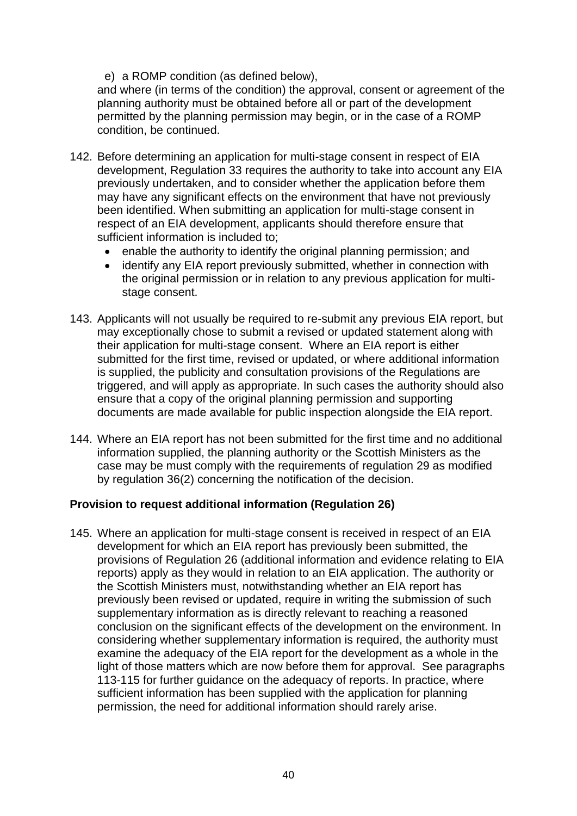e) a ROMP condition (as defined below),

and where (in terms of the condition) the approval, consent or agreement of the planning authority must be obtained before all or part of the development permitted by the planning permission may begin, or in the case of a ROMP condition, be continued.

- 142. Before determining an application for multi-stage consent in respect of EIA development, Regulation 33 requires the authority to take into account any EIA previously undertaken, and to consider whether the application before them may have any significant effects on the environment that have not previously been identified. When submitting an application for multi-stage consent in respect of an EIA development, applicants should therefore ensure that sufficient information is included to;
	- enable the authority to identify the original planning permission; and
	- identify any EIA report previously submitted, whether in connection with the original permission or in relation to any previous application for multistage consent.
- 143. Applicants will not usually be required to re-submit any previous EIA report, but may exceptionally chose to submit a revised or updated statement along with their application for multi-stage consent. Where an EIA report is either submitted for the first time, revised or updated, or where additional information is supplied, the publicity and consultation provisions of the Regulations are triggered, and will apply as appropriate. In such cases the authority should also ensure that a copy of the original planning permission and supporting documents are made available for public inspection alongside the EIA report.
- 144. Where an EIA report has not been submitted for the first time and no additional information supplied, the planning authority or the Scottish Ministers as the case may be must comply with the requirements of regulation 29 as modified by regulation 36(2) concerning the notification of the decision.

#### <span id="page-45-0"></span>**Provision to request additional information (Regulation 26)**

145. Where an application for multi-stage consent is received in respect of an EIA development for which an EIA report has previously been submitted, the provisions of Regulation 26 (additional information and evidence relating to EIA reports) apply as they would in relation to an EIA application. The authority or the Scottish Ministers must, notwithstanding whether an EIA report has previously been revised or updated, require in writing the submission of such supplementary information as is directly relevant to reaching a reasoned conclusion on the significant effects of the development on the environment. In considering whether supplementary information is required, the authority must examine the adequacy of the EIA report for the development as a whole in the light of those matters which are now before them for approval. See paragraphs 113-115 for further guidance on the adequacy of reports. In practice, where sufficient information has been supplied with the application for planning permission, the need for additional information should rarely arise.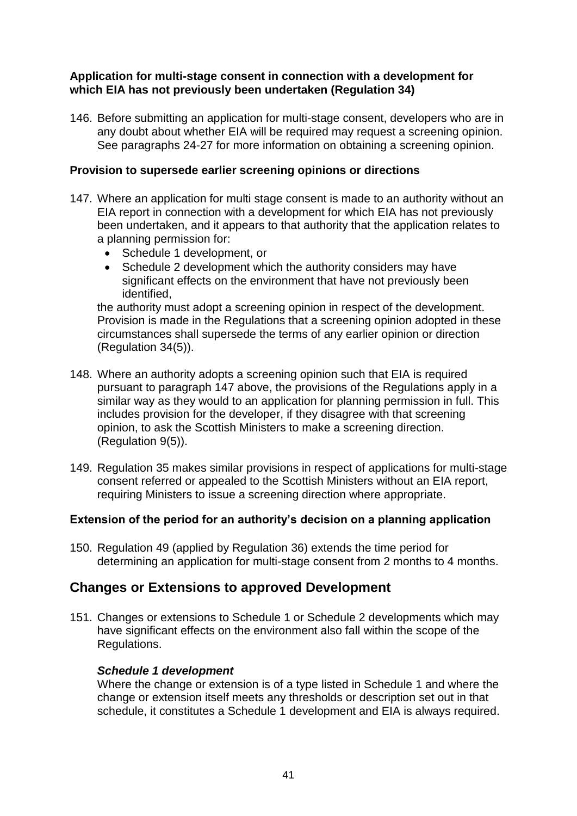#### <span id="page-46-0"></span>**Application for multi-stage consent in connection with a development for which EIA has not previously been undertaken (Regulation 34)**

146. Before submitting an application for multi-stage consent, developers who are in any doubt about whether EIA will be required may request a screening opinion. See paragraphs 24-27 for more information on obtaining a screening opinion.

#### <span id="page-46-1"></span>**Provision to supersede earlier screening opinions or directions**

- 147. Where an application for multi stage consent is made to an authority without an EIA report in connection with a development for which EIA has not previously been undertaken, and it appears to that authority that the application relates to a planning permission for:
	- Schedule 1 development, or
	- Schedule 2 development which the authority considers may have significant effects on the environment that have not previously been identified,

the authority must adopt a screening opinion in respect of the development. Provision is made in the Regulations that a screening opinion adopted in these circumstances shall supersede the terms of any earlier opinion or direction (Regulation 34(5)).

- 148. Where an authority adopts a screening opinion such that EIA is required pursuant to paragraph 147 above, the provisions of the Regulations apply in a similar way as they would to an application for planning permission in full. This includes provision for the developer, if they disagree with that screening opinion, to ask the Scottish Ministers to make a screening direction. (Regulation 9(5)).
- 149. Regulation 35 makes similar provisions in respect of applications for multi-stage consent referred or appealed to the Scottish Ministers without an EIA report, requiring Ministers to issue a screening direction where appropriate.

#### <span id="page-46-2"></span>**Extension of the period for an authority's decision on a planning application**

150. Regulation 49 (applied by Regulation 36) extends the time period for determining an application for multi-stage consent from 2 months to 4 months.

#### <span id="page-46-3"></span>**Changes or Extensions to approved Development**

151. Changes or extensions to Schedule 1 or Schedule 2 developments which may have significant effects on the environment also fall within the scope of the Regulations.

#### *Schedule 1 development*

Where the change or extension is of a type listed in Schedule 1 and where the change or extension itself meets any thresholds or description set out in that schedule, it constitutes a Schedule 1 development and EIA is always required.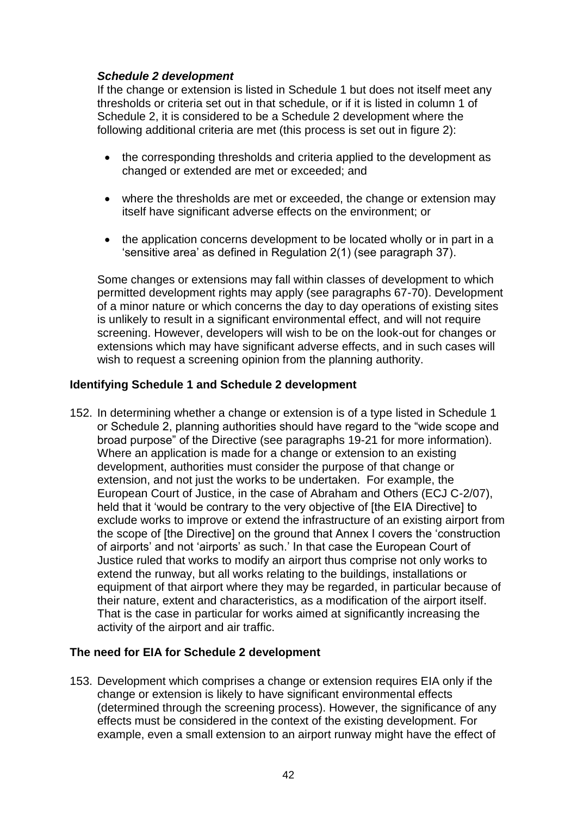#### *Schedule 2 development*

If the change or extension is listed in Schedule 1 but does not itself meet any thresholds or criteria set out in that schedule, or if it is listed in column 1 of Schedule 2, it is considered to be a Schedule 2 development where the following additional criteria are met (this process is set out in figure 2):

- the corresponding thresholds and criteria applied to the development as changed or extended are met or exceeded; and
- where the thresholds are met or exceeded, the change or extension may itself have significant adverse effects on the environment; or
- the application concerns development to be located wholly or in part in a 'sensitive area' as defined in Regulation 2(1) (see paragraph 37).

Some changes or extensions may fall within classes of development to which permitted development rights may apply (see paragraphs 67-70). Development of a minor nature or which concerns the day to day operations of existing sites is unlikely to result in a significant environmental effect, and will not require screening. However, developers will wish to be on the look-out for changes or extensions which may have significant adverse effects, and in such cases will wish to request a screening opinion from the planning authority.

#### <span id="page-47-0"></span>**Identifying Schedule 1 and Schedule 2 development**

152. In determining whether a change or extension is of a type listed in Schedule 1 or Schedule 2, planning authorities should have regard to the "wide scope and broad purpose" of the Directive (see paragraphs 19-21 for more information). Where an application is made for a change or extension to an existing development, authorities must consider the purpose of that change or extension, and not just the works to be undertaken. For example, the European Court of Justice, in the case of Abraham and Others (ECJ C-2/07), held that it 'would be contrary to the very objective of [the EIA Directive] to exclude works to improve or extend the infrastructure of an existing airport from the scope of [the Directive] on the ground that Annex I covers the 'construction of airports' and not 'airports' as such.' In that case the European Court of Justice ruled that works to modify an airport thus comprise not only works to extend the runway, but all works relating to the buildings, installations or equipment of that airport where they may be regarded, in particular because of their nature, extent and characteristics, as a modification of the airport itself. That is the case in particular for works aimed at significantly increasing the activity of the airport and air traffic.

#### <span id="page-47-1"></span>**The need for EIA for Schedule 2 development**

153. Development which comprises a change or extension requires EIA only if the change or extension is likely to have significant environmental effects (determined through the screening process). However, the significance of any effects must be considered in the context of the existing development. For example, even a small extension to an airport runway might have the effect of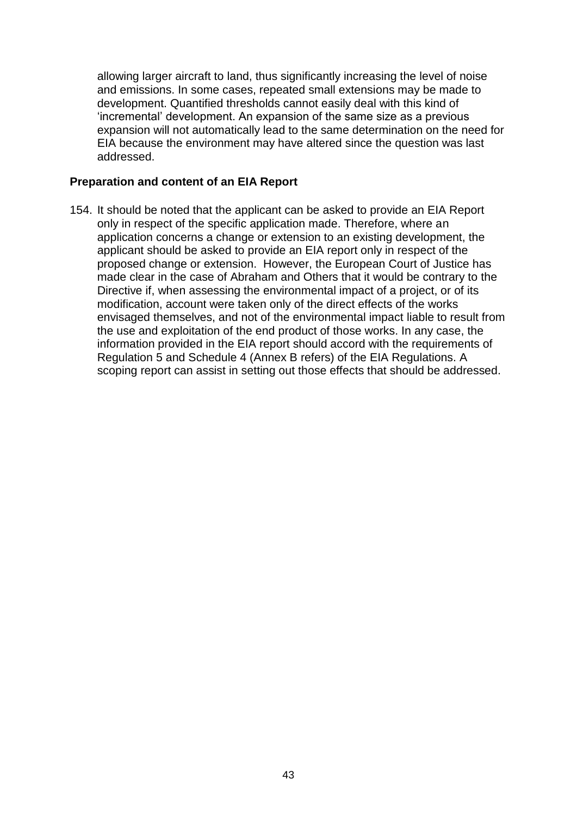allowing larger aircraft to land, thus significantly increasing the level of noise and emissions. In some cases, repeated small extensions may be made to development. Quantified thresholds cannot easily deal with this kind of 'incremental' development. An expansion of the same size as a previous expansion will not automatically lead to the same determination on the need for EIA because the environment may have altered since the question was last addressed.

#### <span id="page-48-0"></span>**Preparation and content of an EIA Report**

154. It should be noted that the applicant can be asked to provide an EIA Report only in respect of the specific application made. Therefore, where an application concerns a change or extension to an existing development, the applicant should be asked to provide an EIA report only in respect of the proposed change or extension. However, the European Court of Justice has made clear in the case of Abraham and Others that it would be contrary to the Directive if, when assessing the environmental impact of a project, or of its modification, account were taken only of the direct effects of the works envisaged themselves, and not of the environmental impact liable to result from the use and exploitation of the end product of those works. In any case, the information provided in the EIA report should accord with the requirements of Regulation 5 and Schedule 4 (Annex B refers) of the EIA Regulations. A scoping report can assist in setting out those effects that should be addressed.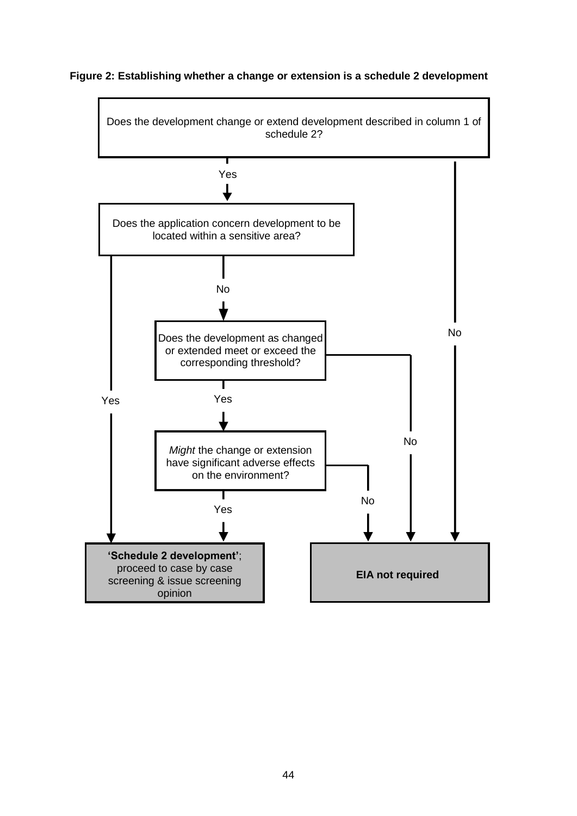

#### **Figure 2: Establishing whether a change or extension is a schedule 2 development**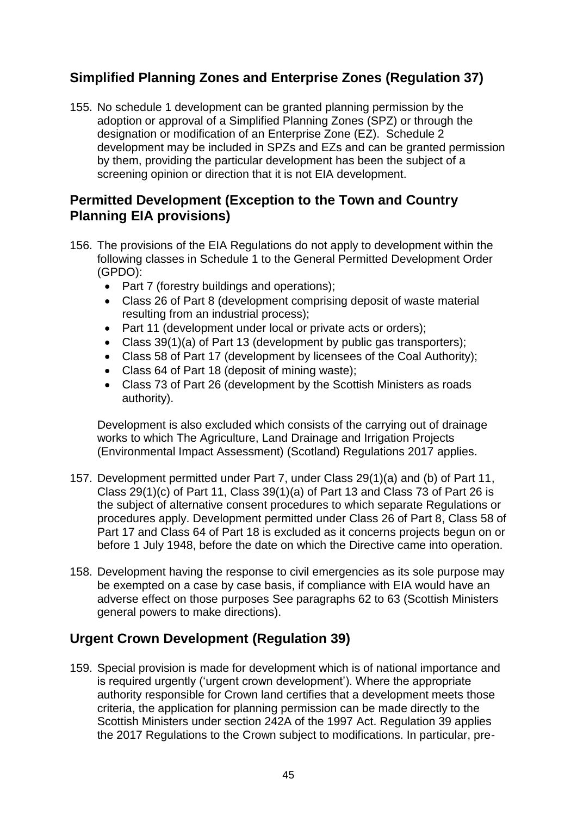# <span id="page-50-0"></span>**Simplified Planning Zones and Enterprise Zones (Regulation 37)**

155. No schedule 1 development can be granted planning permission by the adoption or approval of a Simplified Planning Zones (SPZ) or through the designation or modification of an Enterprise Zone (EZ). Schedule 2 development may be included in SPZs and EZs and can be granted permission by them, providing the particular development has been the subject of a screening opinion or direction that it is not EIA development.

#### <span id="page-50-1"></span>**Permitted Development (Exception to the Town and Country Planning EIA provisions)**

- 156. The provisions of the EIA Regulations do not apply to development within the following classes in Schedule 1 to the General Permitted Development Order (GPDO):
	- Part 7 (forestry buildings and operations);
	- Class 26 of Part 8 (development comprising deposit of waste material resulting from an industrial process);
	- Part 11 (development under local or private acts or orders);
	- Class 39(1)(a) of Part 13 (development by public gas transporters);
	- Class 58 of Part 17 (development by licensees of the Coal Authority);
	- Class 64 of Part 18 (deposit of mining waste);
	- Class 73 of Part 26 (development by the Scottish Ministers as roads authority).

Development is also excluded which consists of the carrying out of drainage works to which The Agriculture, Land Drainage and Irrigation Projects (Environmental Impact Assessment) (Scotland) Regulations 2017 applies.

- 157. Development permitted under Part 7, under Class 29(1)(a) and (b) of Part 11, Class 29(1)(c) of Part 11, Class 39(1)(a) of Part 13 and Class 73 of Part 26 is the subject of alternative consent procedures to which separate Regulations or procedures apply. Development permitted under Class 26 of Part 8, Class 58 of Part 17 and Class 64 of Part 18 is excluded as it concerns projects begun on or before 1 July 1948, before the date on which the Directive came into operation.
- 158. Development having the response to civil emergencies as its sole purpose may be exempted on a case by case basis, if compliance with EIA would have an adverse effect on those purposes See paragraphs 62 to 63 (Scottish Ministers general powers to make directions).

## <span id="page-50-2"></span>**Urgent Crown Development (Regulation 39)**

159. Special provision is made for development which is of national importance and is required urgently ('urgent crown development'). Where the appropriate authority responsible for Crown land certifies that a development meets those criteria, the application for planning permission can be made directly to the Scottish Ministers under section 242A of the 1997 Act. Regulation 39 applies the 2017 Regulations to the Crown subject to modifications. In particular, pre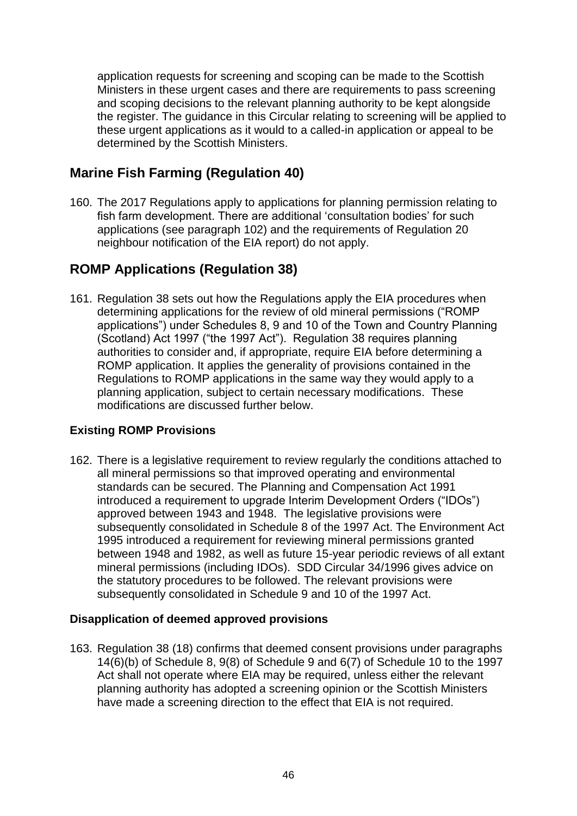application requests for screening and scoping can be made to the Scottish Ministers in these urgent cases and there are requirements to pass screening and scoping decisions to the relevant planning authority to be kept alongside the register. The guidance in this Circular relating to screening will be applied to these urgent applications as it would to a called-in application or appeal to be determined by the Scottish Ministers.

# <span id="page-51-0"></span>**Marine Fish Farming (Regulation 40)**

160. The 2017 Regulations apply to applications for planning permission relating to fish farm development. There are additional 'consultation bodies' for such applications (see paragraph 102) and the requirements of Regulation 20 neighbour notification of the EIA report) do not apply.

## <span id="page-51-1"></span>**ROMP Applications (Regulation 38)**

161. Regulation 38 sets out how the Regulations apply the EIA procedures when determining applications for the review of old mineral permissions ("ROMP applications") under Schedules 8, 9 and 10 of the Town and Country Planning (Scotland) Act 1997 ("the 1997 Act"). Regulation 38 requires planning authorities to consider and, if appropriate, require EIA before determining a ROMP application. It applies the generality of provisions contained in the Regulations to ROMP applications in the same way they would apply to a planning application, subject to certain necessary modifications. These modifications are discussed further below.

#### <span id="page-51-2"></span>**Existing ROMP Provisions**

162. There is a legislative requirement to review regularly the conditions attached to all mineral permissions so that improved operating and environmental standards can be secured. The Planning and Compensation Act 1991 introduced a requirement to upgrade Interim Development Orders ("IDOs") approved between 1943 and 1948. The legislative provisions were subsequently consolidated in Schedule 8 of the 1997 Act. The Environment Act 1995 introduced a requirement for reviewing mineral permissions granted between 1948 and 1982, as well as future 15-year periodic reviews of all extant mineral permissions (including IDOs). SDD Circular 34/1996 gives advice on the statutory procedures to be followed. The relevant provisions were subsequently consolidated in Schedule 9 and 10 of the 1997 Act.

#### <span id="page-51-3"></span>**Disapplication of deemed approved provisions**

163. Regulation 38 (18) confirms that deemed consent provisions under paragraphs 14(6)(b) of Schedule 8, 9(8) of Schedule 9 and 6(7) of Schedule 10 to the 1997 Act shall not operate where EIA may be required, unless either the relevant planning authority has adopted a screening opinion or the Scottish Ministers have made a screening direction to the effect that EIA is not required.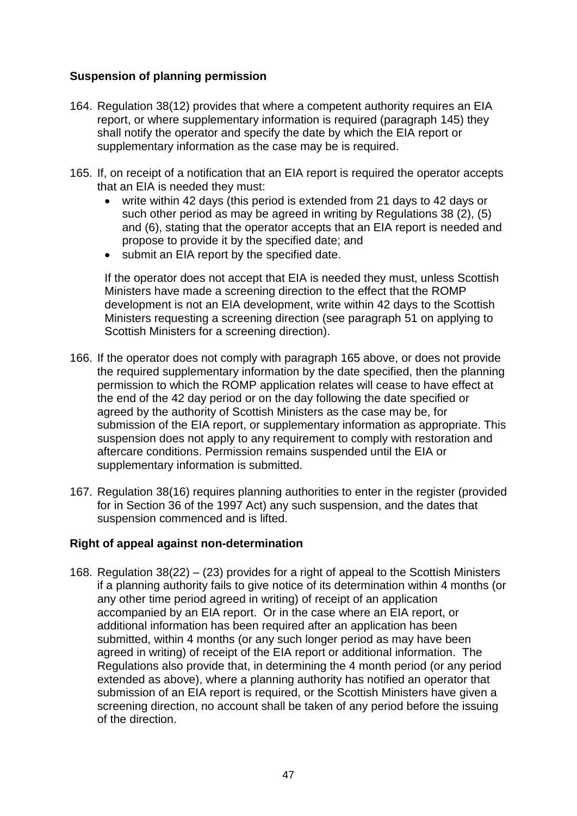#### <span id="page-52-0"></span>**Suspension of planning permission**

- 164. Regulation 38(12) provides that where a competent authority requires an EIA report, or where supplementary information is required (paragraph 145) they shall notify the operator and specify the date by which the EIA report or supplementary information as the case may be is required.
- 165. If, on receipt of a notification that an EIA report is required the operator accepts that an EIA is needed they must:
	- write within 42 days (this period is extended from 21 days to 42 days or such other period as may be agreed in writing by Regulations 38 (2), (5) and (6), stating that the operator accepts that an EIA report is needed and propose to provide it by the specified date; and
	- submit an EIA report by the specified date.

If the operator does not accept that EIA is needed they must, unless Scottish Ministers have made a screening direction to the effect that the ROMP development is not an EIA development, write within 42 days to the Scottish Ministers requesting a screening direction (see paragraph 51 on applying to Scottish Ministers for a screening direction).

- 166. If the operator does not comply with paragraph 165 above, or does not provide the required supplementary information by the date specified, then the planning permission to which the ROMP application relates will cease to have effect at the end of the 42 day period or on the day following the date specified or agreed by the authority of Scottish Ministers as the case may be, for submission of the EIA report, or supplementary information as appropriate. This suspension does not apply to any requirement to comply with restoration and aftercare conditions. Permission remains suspended until the EIA or supplementary information is submitted.
- 167. Regulation 38(16) requires planning authorities to enter in the register (provided for in Section 36 of the 1997 Act) any such suspension, and the dates that suspension commenced and is lifted.

#### <span id="page-52-1"></span>**Right of appeal against non-determination**

168. Regulation 38(22) – (23) provides for a right of appeal to the Scottish Ministers if a planning authority fails to give notice of its determination within 4 months (or any other time period agreed in writing) of receipt of an application accompanied by an EIA report. Or in the case where an EIA report, or additional information has been required after an application has been submitted, within 4 months (or any such longer period as may have been agreed in writing) of receipt of the EIA report or additional information. The Regulations also provide that, in determining the 4 month period (or any period extended as above), where a planning authority has notified an operator that submission of an EIA report is required, or the Scottish Ministers have given a screening direction, no account shall be taken of any period before the issuing of the direction.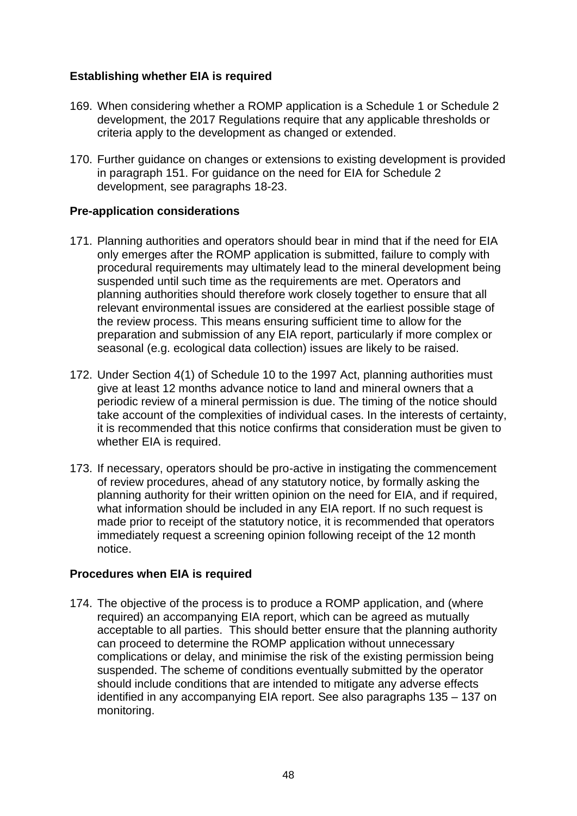#### <span id="page-53-0"></span>**Establishing whether EIA is required**

- 169. When considering whether a ROMP application is a Schedule 1 or Schedule 2 development, the 2017 Regulations require that any applicable thresholds or criteria apply to the development as changed or extended.
- 170. Further guidance on changes or extensions to existing development is provided in paragraph 151. For guidance on the need for EIA for Schedule 2 development, see paragraphs 18-23.

#### <span id="page-53-1"></span>**Pre-application considerations**

- 171. Planning authorities and operators should bear in mind that if the need for EIA only emerges after the ROMP application is submitted, failure to comply with procedural requirements may ultimately lead to the mineral development being suspended until such time as the requirements are met. Operators and planning authorities should therefore work closely together to ensure that all relevant environmental issues are considered at the earliest possible stage of the review process. This means ensuring sufficient time to allow for the preparation and submission of any EIA report, particularly if more complex or seasonal (e.g. ecological data collection) issues are likely to be raised.
- 172. Under Section 4(1) of Schedule 10 to the 1997 Act, planning authorities must give at least 12 months advance notice to land and mineral owners that a periodic review of a mineral permission is due. The timing of the notice should take account of the complexities of individual cases. In the interests of certainty, it is recommended that this notice confirms that consideration must be given to whether EIA is required.
- 173. If necessary, operators should be pro-active in instigating the commencement of review procedures, ahead of any statutory notice, by formally asking the planning authority for their written opinion on the need for EIA, and if required, what information should be included in any EIA report. If no such request is made prior to receipt of the statutory notice, it is recommended that operators immediately request a screening opinion following receipt of the 12 month notice.

#### <span id="page-53-2"></span>**Procedures when EIA is required**

<span id="page-53-3"></span>174. The objective of the process is to produce a ROMP application, and (where required) an accompanying EIA report, which can be agreed as mutually acceptable to all parties. This should better ensure that the planning authority can proceed to determine the ROMP application without unnecessary complications or delay, and minimise the risk of the existing permission being suspended. The scheme of conditions eventually submitted by the operator should include conditions that are intended to mitigate any adverse effects identified in any accompanying EIA report. See also paragraphs 135 – 137 on monitoring.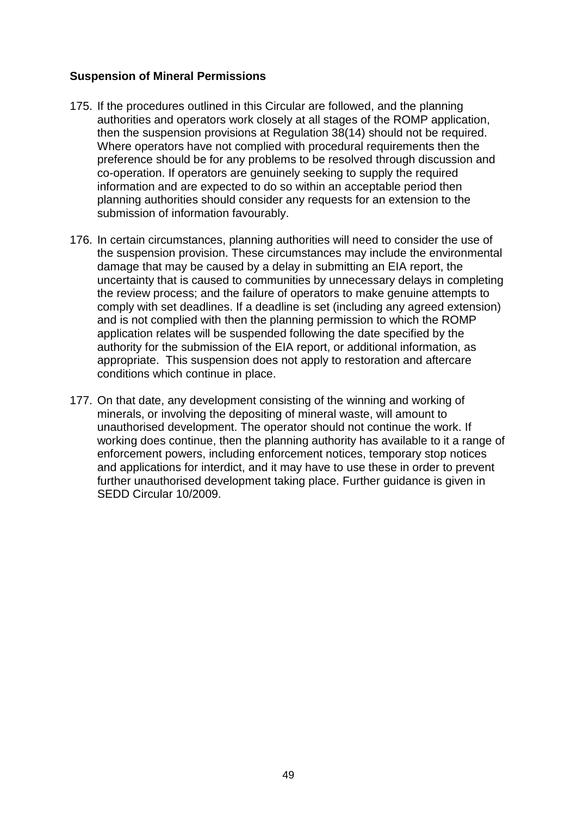#### **Suspension of Mineral Permissions**

- 175. If the procedures outlined in this Circular are followed, and the planning authorities and operators work closely at all stages of the ROMP application, then the suspension provisions at Regulation 38(14) should not be required. Where operators have not complied with procedural requirements then the preference should be for any problems to be resolved through discussion and co-operation. If operators are genuinely seeking to supply the required information and are expected to do so within an acceptable period then planning authorities should consider any requests for an extension to the submission of information favourably.
- 176. In certain circumstances, planning authorities will need to consider the use of the suspension provision. These circumstances may include the environmental damage that may be caused by a delay in submitting an EIA report, the uncertainty that is caused to communities by unnecessary delays in completing the review process; and the failure of operators to make genuine attempts to comply with set deadlines. If a deadline is set (including any agreed extension) and is not complied with then the planning permission to which the ROMP application relates will be suspended following the date specified by the authority for the submission of the EIA report, or additional information, as appropriate. This suspension does not apply to restoration and aftercare conditions which continue in place.
- <span id="page-54-0"></span>177. On that date, any development consisting of the winning and working of minerals, or involving the depositing of mineral waste, will amount to unauthorised development. The operator should not continue the work. If working does continue, then the planning authority has available to it a range of enforcement powers, including enforcement notices, temporary stop notices and applications for interdict, and it may have to use these in order to prevent further unauthorised development taking place. Further guidance is given in SEDD Circular 10/2009.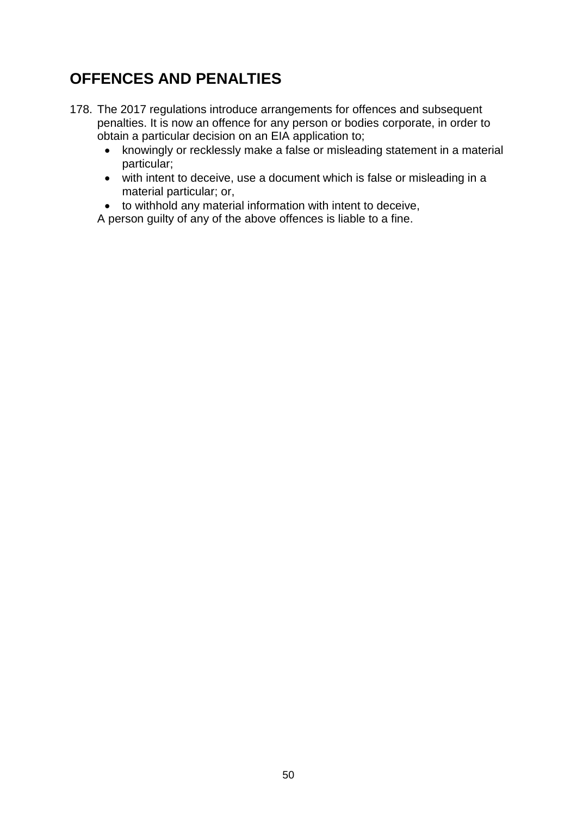# **OFFENCES AND PENALTIES**

- 178. The 2017 regulations introduce arrangements for offences and subsequent penalties. It is now an offence for any person or bodies corporate, in order to obtain a particular decision on an EIA application to;
	- knowingly or recklessly make a false or misleading statement in a material particular;
	- with intent to deceive, use a document which is false or misleading in a material particular; or,
	- to withhold any material information with intent to deceive,

<span id="page-55-0"></span>A person guilty of any of the above offences is liable to a fine.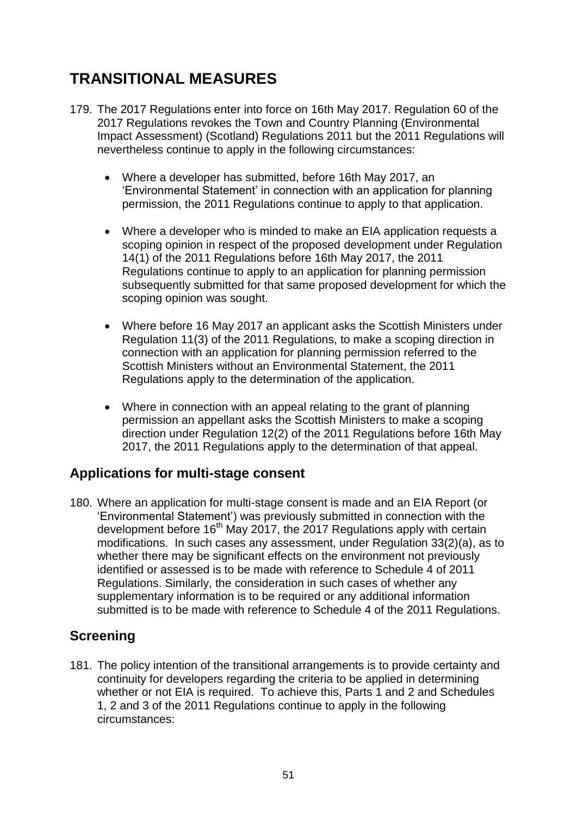# **TRANSITIONAL MEASURES**

- 179. The 2017 Regulations enter into force on 16th May 2017. Regulation 60 of the 2017 Regulations revokes the Town and Country Planning (Environmental Impact Assessment) (Scotland) Regulations 2011 but the 2011 Regulations will nevertheless continue to apply in the following circumstances:
	- Where a developer has submitted, before 16th May 2017, an 'Environmental Statement' in connection with an application for planning permission, the 2011 Regulations continue to apply to that application.
	- Where a developer who is minded to make an EIA application requests a scoping opinion in respect of the proposed development under Regulation 14(1) of the 2011 Regulations before 16th May 2017, the 2011 Regulations continue to apply to an application for planning permission subsequently submitted for that same proposed development for which the scoping opinion was sought.
	- Where before 16 May 2017 an applicant asks the Scottish Ministers under Regulation 11(3) of the 2011 Regulations, to make a scoping direction in connection with an application for planning permission referred to the Scottish Ministers without an Environmental Statement, the 2011 Regulations apply to the determination of the application.
	- Where in connection with an appeal relating to the grant of planning permission an appellant asks the Scottish Ministers to make a scoping direction under Regulation 12(2) of the 2011 Regulations before 16th May 2017, the 2011 Regulations apply to the determination of that appeal.

#### <span id="page-56-0"></span>**Applications for multi-stage consent**

180. Where an application for multi-stage consent is made and an EIA Report (or 'Environmental Statement') was previously submitted in connection with the development before 16<sup>th</sup> May 2017, the 2017 Regulations apply with certain modifications. In such cases any assessment, under Regulation 33(2)(a), as to whether there may be significant effects on the environment not previously identified or assessed is to be made with reference to Schedule 4 of 2011 Regulations. Similarly, the consideration in such cases of whether any supplementary information is to be required or any additional information submitted is to be made with reference to Schedule 4 of the 2011 Regulations.

## <span id="page-56-1"></span>**Screening**

181. The policy intention of the transitional arrangements is to provide certainty and continuity for developers regarding the criteria to be applied in determining whether or not EIA is required. To achieve this, Parts 1 and 2 and Schedules 1, 2 and 3 of the 2011 Regulations continue to apply in the following circumstances: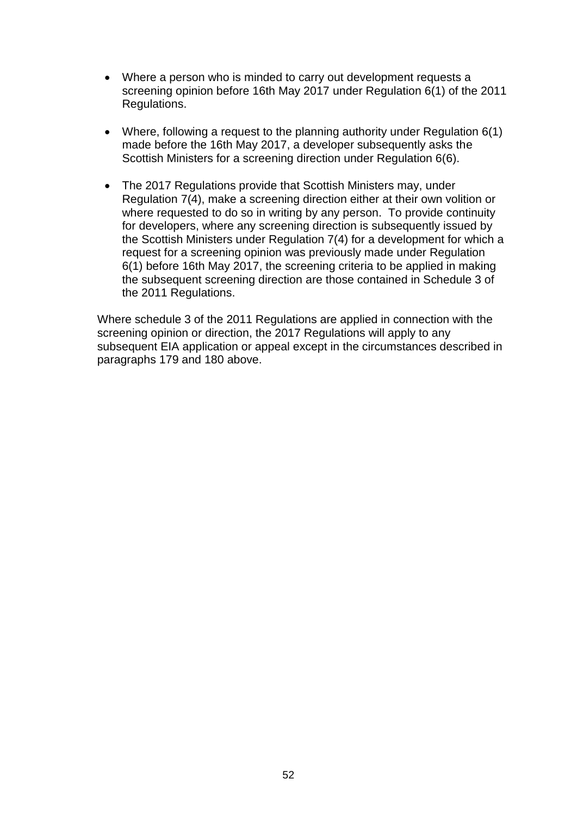- Where a person who is minded to carry out development requests a screening opinion before 16th May 2017 under Regulation 6(1) of the 2011 Regulations.
- Where, following a request to the planning authority under Regulation 6(1) made before the 16th May 2017, a developer subsequently asks the Scottish Ministers for a screening direction under Regulation 6(6).
- The 2017 Regulations provide that Scottish Ministers may, under Regulation 7(4), make a screening direction either at their own volition or where requested to do so in writing by any person. To provide continuity for developers, where any screening direction is subsequently issued by the Scottish Ministers under Regulation 7(4) for a development for which a request for a screening opinion was previously made under Regulation 6(1) before 16th May 2017, the screening criteria to be applied in making the subsequent screening direction are those contained in Schedule 3 of the 2011 Regulations.

Where schedule 3 of the 2011 Regulations are applied in connection with the screening opinion or direction, the 2017 Regulations will apply to any subsequent EIA application or appeal except in the circumstances described in paragraphs 179 and 180 above.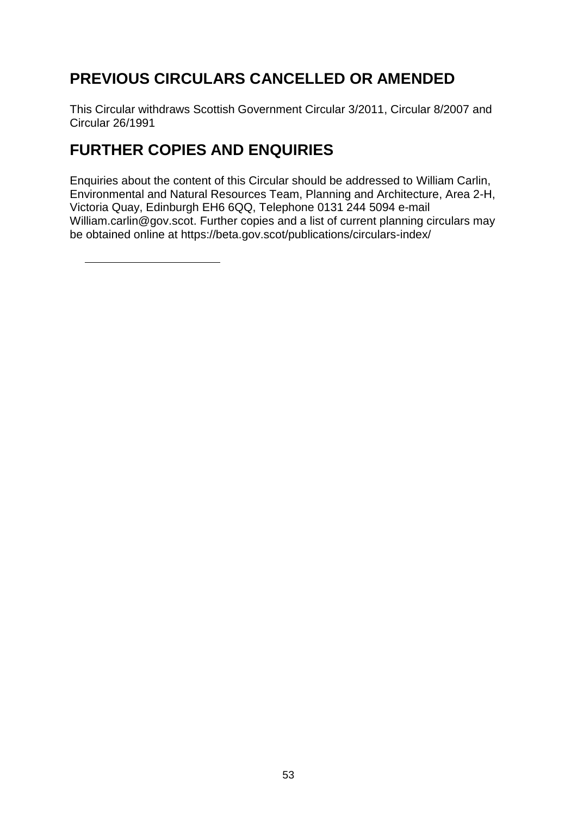# <span id="page-58-0"></span>**PREVIOUS CIRCULARS CANCELLED OR AMENDED**

This Circular withdraws Scottish Government Circular 3/2011, Circular 8/2007 and Circular 26/1991

# <span id="page-58-1"></span>**FURTHER COPIES AND ENQUIRIES**

Enquiries about the content of this Circular should be addressed to William Carlin, Environmental and Natural Resources Team, Planning and Architecture, Area 2-H, Victoria Quay, Edinburgh EH6 6QQ, Telephone 0131 244 5094 e-mail [William.carlin@gov.scot.](mailto:William.carlin@gov.scot) Further copies and a list of current planning circulars may be obtained online at https://beta.gov.scot/publications/circulars-index/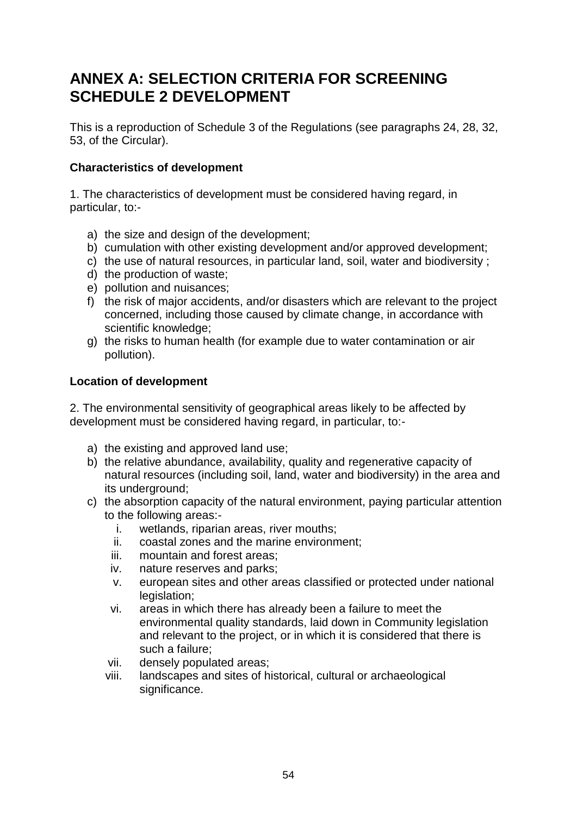# <span id="page-59-0"></span>**ANNEX A: SELECTION CRITERIA FOR SCREENING SCHEDULE 2 DEVELOPMENT**

This is a reproduction of Schedule 3 of the Regulations (see paragraphs 24, 28, 32, 53, of the Circular).

#### **Characteristics of development**

1. The characteristics of development must be considered having regard, in particular, to:-

- a) the size and design of the development;
- b) cumulation with other existing development and/or approved development;
- c) the use of natural resources, in particular land, soil, water and biodiversity ;
- d) the production of waste;
- e) pollution and nuisances;
- f) the risk of major accidents, and/or disasters which are relevant to the project concerned, including those caused by climate change, in accordance with scientific knowledge;
- g) the risks to human health (for example due to water contamination or air pollution).

#### **Location of development**

2. The environmental sensitivity of geographical areas likely to be affected by development must be considered having regard, in particular, to:-

- a) the existing and approved land use;
- b) the relative abundance, availability, quality and regenerative capacity of natural resources (including soil, land, water and biodiversity) in the area and its underground;
- c) the absorption capacity of the natural environment, paying particular attention to the following areas:
	- i. wetlands, riparian areas, river mouths;
	- ii. coastal zones and the marine environment;
	- iii. mountain and forest areas;
	- iv. nature reserves and parks;
	- v. european sites and other areas classified or protected under national legislation:
	- vi. areas in which there has already been a failure to meet the environmental quality standards, laid down in Community legislation and relevant to the project, or in which it is considered that there is such a failure;
	- vii. densely populated areas;
	- viii. landscapes and sites of historical, cultural or archaeological significance.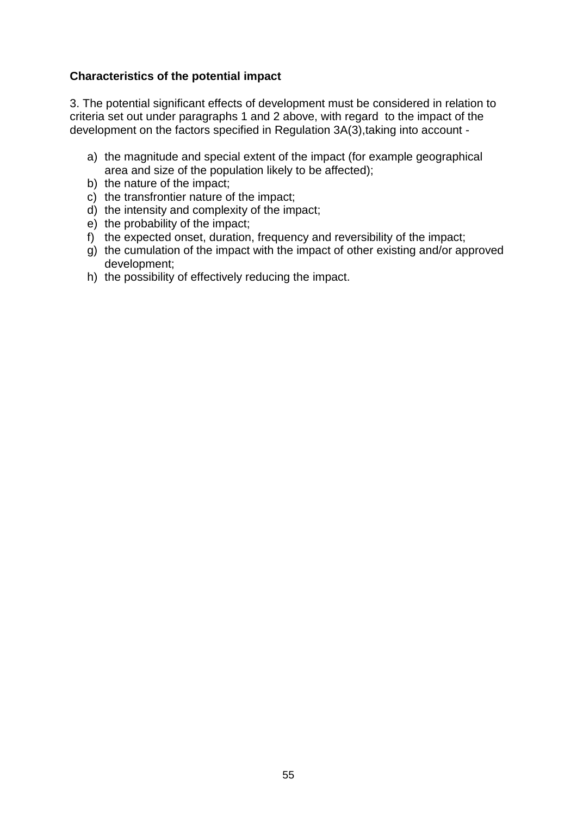#### **Characteristics of the potential impact**

3. The potential significant effects of development must be considered in relation to criteria set out under paragraphs 1 and 2 above, with regard to the impact of the development on the factors specified in Regulation 3A(3),taking into account -

- a) the magnitude and special extent of the impact (for example geographical area and size of the population likely to be affected);
- b) the nature of the impact;
- c) the transfrontier nature of the impact;
- d) the intensity and complexity of the impact;
- e) the probability of the impact;
- f) the expected onset, duration, frequency and reversibility of the impact;
- g) the cumulation of the impact with the impact of other existing and/or approved development;
- h) the possibility of effectively reducing the impact.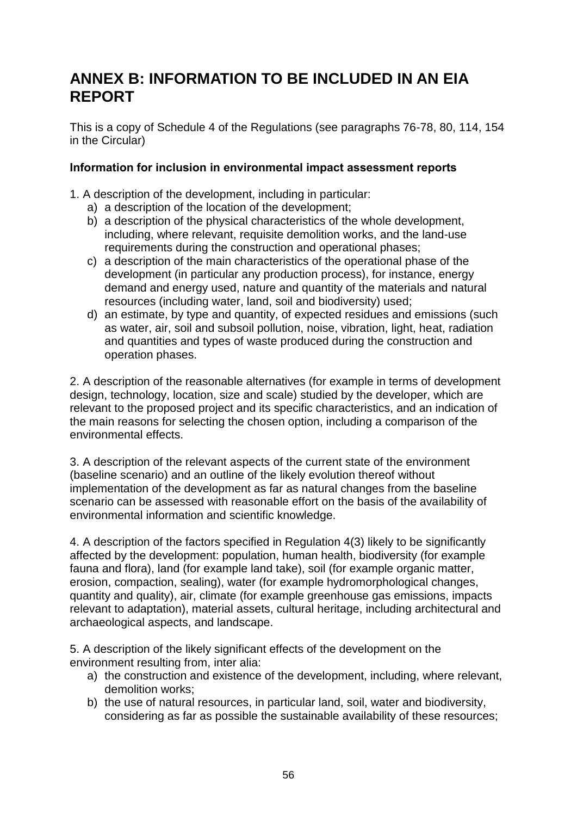# <span id="page-61-0"></span>**ANNEX B: INFORMATION TO BE INCLUDED IN AN EIA REPORT**

This is a copy of Schedule 4 of the Regulations (see paragraphs 76-78, 80, 114, 154 in the Circular)

#### **Information for inclusion in environmental impact assessment reports**

- 1. A description of the development, including in particular:
	- a) a description of the location of the development;
	- b) a description of the physical characteristics of the whole development, including, where relevant, requisite demolition works, and the land-use requirements during the construction and operational phases;
	- c) a description of the main characteristics of the operational phase of the development (in particular any production process), for instance, energy demand and energy used, nature and quantity of the materials and natural resources (including water, land, soil and biodiversity) used;
	- d) an estimate, by type and quantity, of expected residues and emissions (such as water, air, soil and subsoil pollution, noise, vibration, light, heat, radiation and quantities and types of waste produced during the construction and operation phases.

2. A description of the reasonable alternatives (for example in terms of development design, technology, location, size and scale) studied by the developer, which are relevant to the proposed project and its specific characteristics, and an indication of the main reasons for selecting the chosen option, including a comparison of the environmental effects.

3. A description of the relevant aspects of the current state of the environment (baseline scenario) and an outline of the likely evolution thereof without implementation of the development as far as natural changes from the baseline scenario can be assessed with reasonable effort on the basis of the availability of environmental information and scientific knowledge.

4. A description of the factors specified in Regulation 4(3) likely to be significantly affected by the development: population, human health, biodiversity (for example fauna and flora), land (for example land take), soil (for example organic matter, erosion, compaction, sealing), water (for example hydromorphological changes, quantity and quality), air, climate (for example greenhouse gas emissions, impacts relevant to adaptation), material assets, cultural heritage, including architectural and archaeological aspects, and landscape.

5. A description of the likely significant effects of the development on the environment resulting from, inter alia:

- a) the construction and existence of the development, including, where relevant, demolition works;
- b) the use of natural resources, in particular land, soil, water and biodiversity, considering as far as possible the sustainable availability of these resources;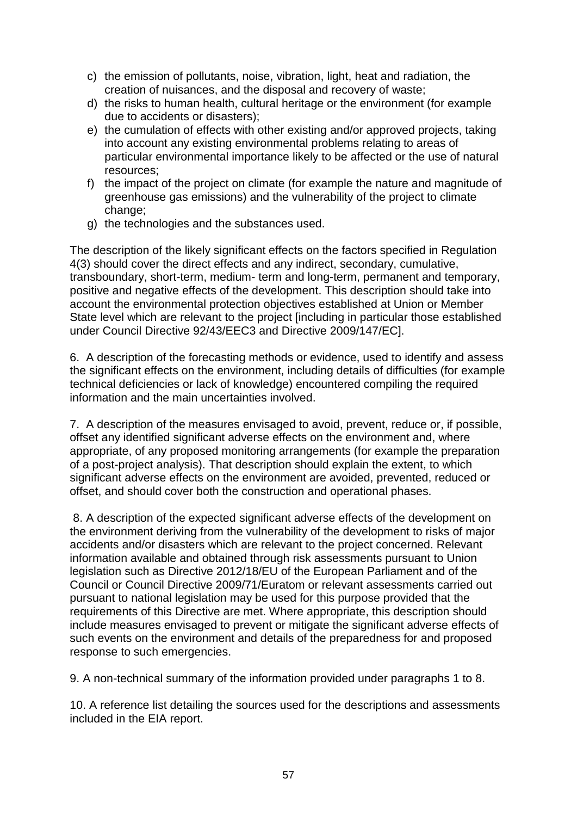- c) the emission of pollutants, noise, vibration, light, heat and radiation, the creation of nuisances, and the disposal and recovery of waste;
- d) the risks to human health, cultural heritage or the environment (for example due to accidents or disasters);
- e) the cumulation of effects with other existing and/or approved projects, taking into account any existing environmental problems relating to areas of particular environmental importance likely to be affected or the use of natural resources;
- f) the impact of the project on climate (for example the nature and magnitude of greenhouse gas emissions) and the vulnerability of the project to climate change:
- g) the technologies and the substances used.

The description of the likely significant effects on the factors specified in Regulation 4(3) should cover the direct effects and any indirect, secondary, cumulative, transboundary, short-term, medium- term and long-term, permanent and temporary, positive and negative effects of the development. This description should take into account the environmental protection objectives established at Union or Member State level which are relevant to the project [including in particular those established under Council Directive 92/43/EEC3 and Directive 2009/147/EC].

6. A description of the forecasting methods or evidence, used to identify and assess the significant effects on the environment, including details of difficulties (for example technical deficiencies or lack of knowledge) encountered compiling the required information and the main uncertainties involved.

7. A description of the measures envisaged to avoid, prevent, reduce or, if possible, offset any identified significant adverse effects on the environment and, where appropriate, of any proposed monitoring arrangements (for example the preparation of a post-project analysis). That description should explain the extent, to which significant adverse effects on the environment are avoided, prevented, reduced or offset, and should cover both the construction and operational phases.

8. A description of the expected significant adverse effects of the development on the environment deriving from the vulnerability of the development to risks of major accidents and/or disasters which are relevant to the project concerned. Relevant information available and obtained through risk assessments pursuant to Union legislation such as Directive 2012/18/EU of the European Parliament and of the Council or Council Directive 2009/71/Euratom or relevant assessments carried out pursuant to national legislation may be used for this purpose provided that the requirements of this Directive are met. Where appropriate, this description should include measures envisaged to prevent or mitigate the significant adverse effects of such events on the environment and details of the preparedness for and proposed response to such emergencies.

9. A non-technical summary of the information provided under paragraphs 1 to 8.

10. A reference list detailing the sources used for the descriptions and assessments included in the EIA report.